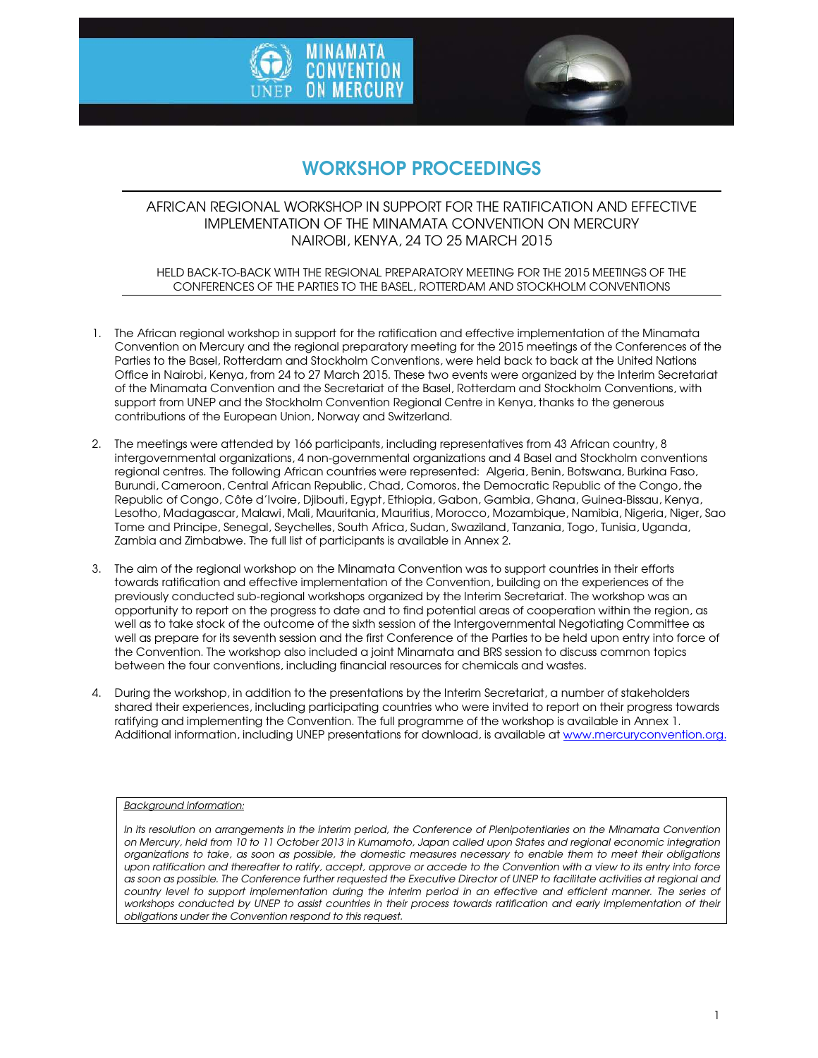



# WORKSHOP PROCEEDINGS

### AFRICAN REGIONAL WORKSHOP IN SUPPORT FOR THE RATIFICATION AND EFFECTIVE IMPLEMENTATION OF THE MINAMATA CONVENTION ON MERCURY NAIROBI, KENYA, 24 TO 25 MARCH 2015

#### HELD BACK-TO-BACK WITH THE REGIONAL PREPARATORY MEETING FOR THE 2015 MEETINGS OF THE CONFERENCES OF THE PARTIES TO THE BASEL, ROTTERDAM AND STOCKHOLM CONVENTIONS

- 1. The African regional workshop in support for the ratification and effective implementation of the Minamata Convention on Mercury and the regional preparatory meeting for the 2015 meetings of the Conferences of the Parties to the Basel, Rotterdam and Stockholm Conventions, were held back to back at the United Nations Office in Nairobi, Kenya, from 24 to 27 March 2015. These two events were organized by the Interim Secretariat of the Minamata Convention and the Secretariat of the Basel, Rotterdam and Stockholm Conventions, with support from UNEP and the Stockholm Convention Regional Centre in Kenya, thanks to the generous contributions of the European Union, Norway and Switzerland.
- 2. The meetings were attended by 166 participants, including representatives from 43 African country, 8 intergovernmental organizations, 4 non-governmental organizations and 4 Basel and Stockholm conventions regional centres. The following African countries were represented: Algeria, Benin, Botswana, Burkina Faso, Burundi, Cameroon, Central African Republic, Chad, Comoros, the Democratic Republic of the Congo, the Republic of Congo, Côte d'Ivoire, Djibouti, Egypt, Ethiopia, Gabon, Gambia, Ghana, Guinea-Bissau, Kenya, Lesotho, Madagascar, Malawi, Mali, Mauritania, Mauritius, Morocco, Mozambique, Namibia, Nigeria, Niger, Sao Tome and Principe, Senegal, Seychelles, South Africa, Sudan, Swaziland, Tanzania, Togo, Tunisia, Uganda, Zambia and Zimbabwe. The full list of participants is available in Annex 2.
- 3. The aim of the regional workshop on the Minamata Convention was to support countries in their efforts towards ratification and effective implementation of the Convention, building on the experiences of the previously conducted sub-regional workshops organized by the Interim Secretariat. The workshop was an opportunity to report on the progress to date and to find potential areas of cooperation within the region, as well as to take stock of the outcome of the sixth session of the Intergovernmental Negotiating Committee as well as prepare for its seventh session and the first Conference of the Parties to be held upon entry into force of the Convention. The workshop also included a joint Minamata and BRS session to discuss common topics between the four conventions, including financial resources for chemicals and wastes.
- 4. During the workshop, in addition to the presentations by the Interim Secretariat, a number of stakeholders shared their experiences, including participating countries who were invited to report on their progress towards ratifying and implementing the Convention. The full programme of the workshop is available in Annex 1. Additional information, including UNEP presentations for download, is available at www.mercuryconvention.org.

#### *Background information:*

*In its resolution on arrangements in the interim period, the Conference of Plenipotentiaries on the Minamata Convention on Mercury, held from 10 to 11 October 2013 in Kumamoto, Japan called upon States and regional economic integration organizations to take, as soon as possible, the domestic measures necessary to enable them to meet their obligations upon ratification and thereafter to ratify, accept, approve or accede to the Convention with a view to its entry into force as soon as possible. The Conference further requested the Executive Director of UNEP to facilitate activities at regional and country level to support implementation during the interim period in an effective and efficient manner. The series of*  workshops conducted by UNEP to assist countries in their process towards ratification and early implementation of their *obligations under the Convention respond to this request.*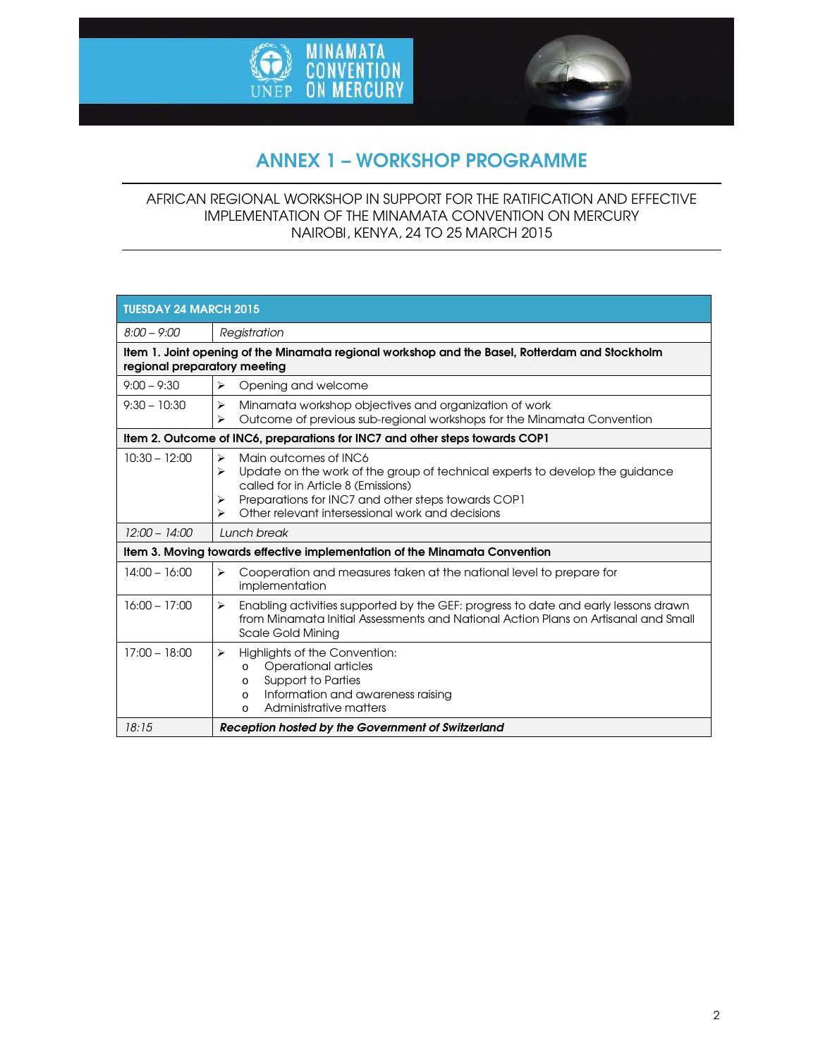



# ANNEX 1 – WORKSHOP PROGRAMME

### AFRICAN REGIONAL WORKSHOP IN SUPPORT FOR THE RATIFICATION AND EFFECTIVE IMPLEMENTATION OF THE MINAMATA CONVENTION ON MERCURY NAIROBI, KENYA, 24 TO 25 MARCH 2015

| <b>TUESDAY 24 MARCH 2015</b>                                                                                                   |                                                                                                                                                                                                                                                                            |  |
|--------------------------------------------------------------------------------------------------------------------------------|----------------------------------------------------------------------------------------------------------------------------------------------------------------------------------------------------------------------------------------------------------------------------|--|
| $8:00 - 9:00$                                                                                                                  | Registration                                                                                                                                                                                                                                                               |  |
| Item 1. Joint opening of the Minamata regional workshop and the Basel, Rotterdam and Stockholm<br>regional preparatory meeting |                                                                                                                                                                                                                                                                            |  |
| $9:00 - 9:30$                                                                                                                  | ⋗<br>Opening and welcome                                                                                                                                                                                                                                                   |  |
| $9:30 - 10:30$                                                                                                                 | Minamata workshop objectives and organization of work<br>⋗<br>Outcome of previous sub-regional workshops for the Minamata Convention<br>⋗                                                                                                                                  |  |
| Item 2. Outcome of INC6, preparations for INC7 and other steps towards COP1                                                    |                                                                                                                                                                                                                                                                            |  |
| $10:30 - 12:00$                                                                                                                | Main outcomes of INC6<br>⋗<br>Update on the work of the group of technical experts to develop the guidance<br>⋗<br>called for in Article 8 (Emissions)<br>Preparations for INC7 and other steps towards COP1<br>⋗<br>Other relevant intersessional work and decisions<br>⋗ |  |
| $12:00 - 14:00$                                                                                                                | Lunch break                                                                                                                                                                                                                                                                |  |
| Item 3. Moving towards effective implementation of the Minamata Convention                                                     |                                                                                                                                                                                                                                                                            |  |
| $14:00 - 16:00$                                                                                                                | ⋗<br>Cooperation and measures taken at the national level to prepare for<br>implementation                                                                                                                                                                                 |  |
| $16:00 - 17:00$                                                                                                                | Enabling activities supported by the GEF: progress to date and early lessons drawn<br>⋗<br>from Minamata Initial Assessments and National Action Plans on Artisanal and Small<br><b>Scale Gold Mining</b>                                                                  |  |
| $17:00 - 18:00$                                                                                                                | Highlights of the Convention:<br>⋗<br><b>Operational articles</b><br>$\circ$<br><b>Support to Parties</b><br>$\circ$<br>Information and awareness raising<br>$\circ$<br>Administrative matters<br>$\Omega$                                                                 |  |
| 18:15                                                                                                                          | Reception hosted by the Government of Switzerland                                                                                                                                                                                                                          |  |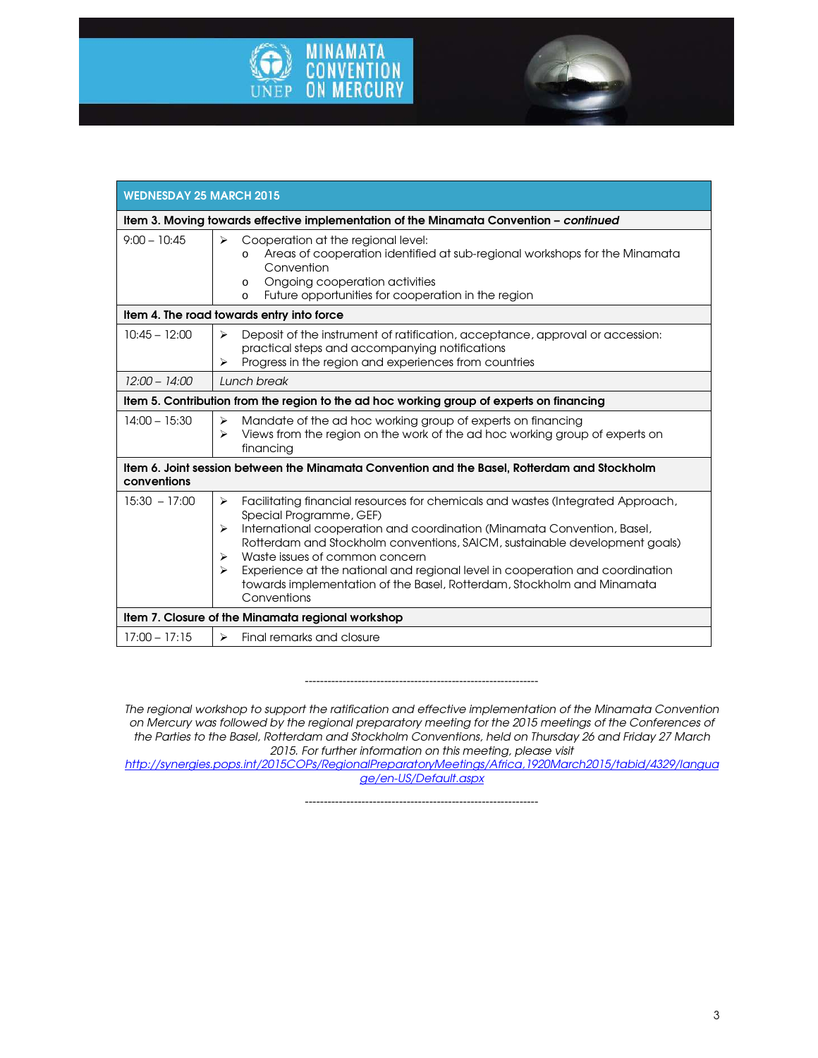



| <b>WEDNESDAY 25 MARCH 2015</b>                                                                              |                                                                                                                                                                                                                                                                                                                                                                                                                                                                                                                         |
|-------------------------------------------------------------------------------------------------------------|-------------------------------------------------------------------------------------------------------------------------------------------------------------------------------------------------------------------------------------------------------------------------------------------------------------------------------------------------------------------------------------------------------------------------------------------------------------------------------------------------------------------------|
| Item 3. Moving towards effective implementation of the Minamata Convention - continued                      |                                                                                                                                                                                                                                                                                                                                                                                                                                                                                                                         |
| $9:00 - 10:45$                                                                                              | Cooperation at the regional level:<br>➤<br>Areas of cooperation identified at sub-regional workshops for the Minamata<br>$\Omega$<br>Convention<br>Ongoing cooperation activities<br>$\Omega$<br>Future opportunities for cooperation in the region<br>$\Omega$                                                                                                                                                                                                                                                         |
| Item 4. The road towards entry into force                                                                   |                                                                                                                                                                                                                                                                                                                                                                                                                                                                                                                         |
| $10:45 - 12:00$                                                                                             | Deposit of the instrument of ratification, acceptance, approval or accession:<br>⋗<br>practical steps and accompanying notifications<br>Progress in the region and experiences from countries<br>⋗                                                                                                                                                                                                                                                                                                                      |
| $12:00 - 14:00$                                                                                             | Lunch break                                                                                                                                                                                                                                                                                                                                                                                                                                                                                                             |
| Item 5. Contribution from the region to the ad hoc working group of experts on financing                    |                                                                                                                                                                                                                                                                                                                                                                                                                                                                                                                         |
| $14:00 - 15:30$                                                                                             | Mandate of the ad hoc working group of experts on financing<br>⋗<br>Views from the region on the work of the ad hoc working group of experts on<br>⋗<br>financing                                                                                                                                                                                                                                                                                                                                                       |
| Item 6. Joint session between the Minamata Convention and the Basel, Rotterdam and Stockholm<br>conventions |                                                                                                                                                                                                                                                                                                                                                                                                                                                                                                                         |
| $15:30 - 17:00$                                                                                             | Facilitating financial resources for chemicals and wastes (Integrated Approach,<br>$\blacktriangleright$<br>Special Programme, GEF)<br>International cooperation and coordination (Minamata Convention, Basel,<br>⋗<br>Rotterdam and Stockholm conventions, SAICM, sustainable development goals)<br>Waste issues of common concern<br>⋗<br>Experience at the national and regional level in cooperation and coordination<br>⋗<br>towards implementation of the Basel, Rotterdam, Stockholm and Minamata<br>Conventions |
| Item 7. Closure of the Minamata regional workshop                                                           |                                                                                                                                                                                                                                                                                                                                                                                                                                                                                                                         |
| $17:00 - 17:15$                                                                                             | Final remarks and closure<br>$\blacktriangleright$                                                                                                                                                                                                                                                                                                                                                                                                                                                                      |

#### *--------------------------------------------------------------*

*The regional workshop to support the ratification and effective implementation of the Minamata Convention on Mercury was followed by the regional preparatory meeting for the 2015 meetings of the Conferences of the Parties to the Basel, Rotterdam and Stockholm Conventions, held on Thursday 26 and Friday 27 March 2015. For further information on this meeting, please visit* 

*http://synergies.pops.int/2015COPs/RegionalPreparatoryMeetings/Africa,1920March2015/tabid/4329/langua ge/en-US/Default.aspx*

--------------------------------------------------------------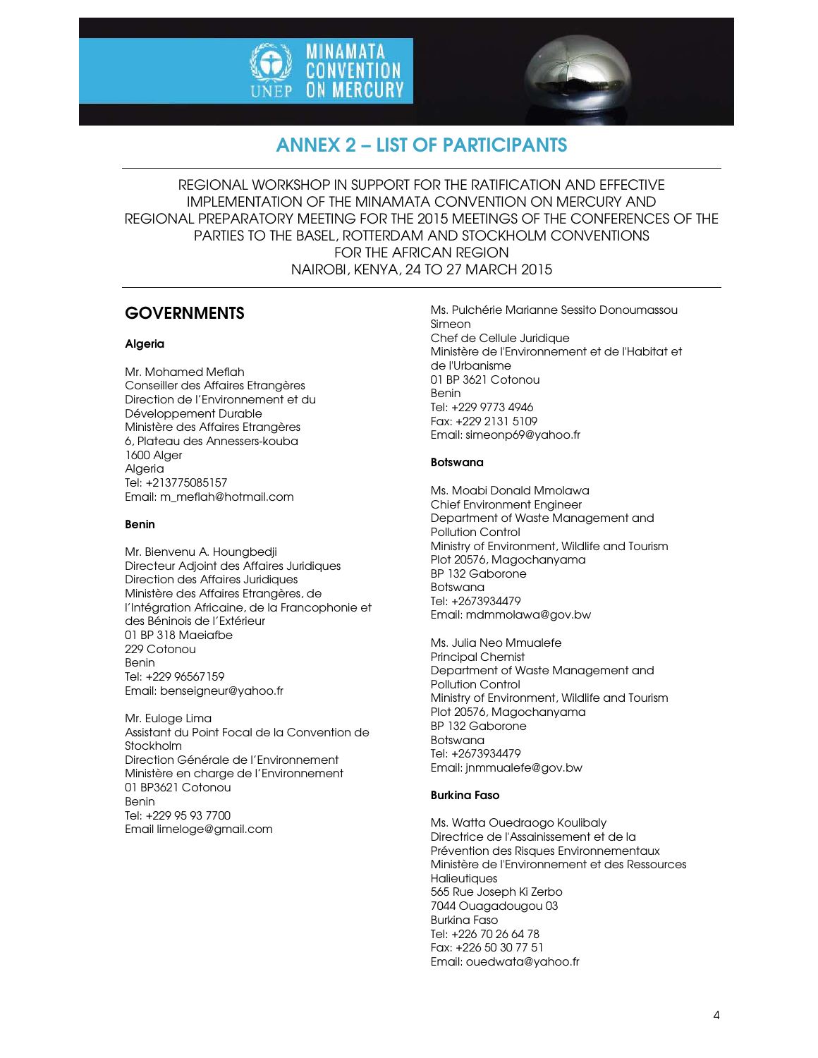



# ANNEX 2 – LIST OF PARTICIPANTS

REGIONAL WORKSHOP IN SUPPORT FOR THE RATIFICATION AND EFFECTIVE IMPLEMENTATION OF THE MINAMATA CONVENTION ON MERCURY AND REGIONAL PREPARATORY MEETING FOR THE 2015 MEETINGS OF THE CONFERENCES OF THE PARTIES TO THE BASEL, ROTTERDAM AND STOCKHOLM CONVENTIONS FOR THE AFRICAN REGION NAIROBI, KENYA, 24 TO 27 MARCH 2015

## **GOVERNMENTS**

#### Algeria

Mr. Mohamed Meflah Conseiller des Affaires Etrangères Direction de l'Environnement et du Développement Durable Ministère des Affaires Etrangères 6, Plateau des Annessers-kouba 1600 Alger Algeria Tel: +213775085157 Email: m\_meflah@hotmail.com

#### Benin

Mr. Bienvenu A. Houngbedji Directeur Adjoint des Affaires Juridiques Direction des Affaires Juridiques Ministère des Affaires Etrangères, de l'Intégration Africaine, de la Francophonie et des Béninois de l'Extérieur 01 BP 318 Maeiafbe 229 Cotonou Benin Tel: +229 96567159 Email: benseigneur@yahoo.fr

Mr. Euloge Lima Assistant du Point Focal de la Convention de Stockholm Direction Générale de l'Environnement Ministère en charge de l'Environnement 01 BP3621 Cotonou Benin Tel: +229 95 93 7700 Email limeloge@gmail.com

Ms. Pulchérie Marianne Sessito Donoumassou Simeon Chef de Cellule Juridique Ministère de l'Environnement et de l'Habitat et de l'Urbanisme 01 BP 3621 Cotonou Benin Tel: +229 9773 4946 Fax: +229 2131 5109 Email: simeonp69@yahoo.fr

#### Botswana

Ms. Moabi Donald Mmolawa Chief Environment Engineer Department of Waste Management and Pollution Control Ministry of Environment, Wildlife and Tourism Plot 20576, Magochanyama BP 132 Gaborone Botswana Tel: +2673934479 Email: mdmmolawa@gov.bw

Ms. Julia Neo Mmualefe Principal Chemist Department of Waste Management and Pollution Control Ministry of Environment, Wildlife and Tourism Plot 20576, Magochanyama BP 132 Gaborone Botswana Tel: +2673934479 Email: jnmmualefe@gov.bw

#### Burkina Faso

Ms. Watta Ouedraogo Koulibaly Directrice de l'Assainissement et de la Prévention des Risques Environnementaux Ministère de l'Environnement et des Ressources **Halieutiaues** 565 Rue Joseph Ki Zerbo 7044 Ouagadougou 03 Burkina Faso Tel: +226 70 26 64 78 Fax: +226 50 30 77 51 Email: ouedwata@yahoo.fr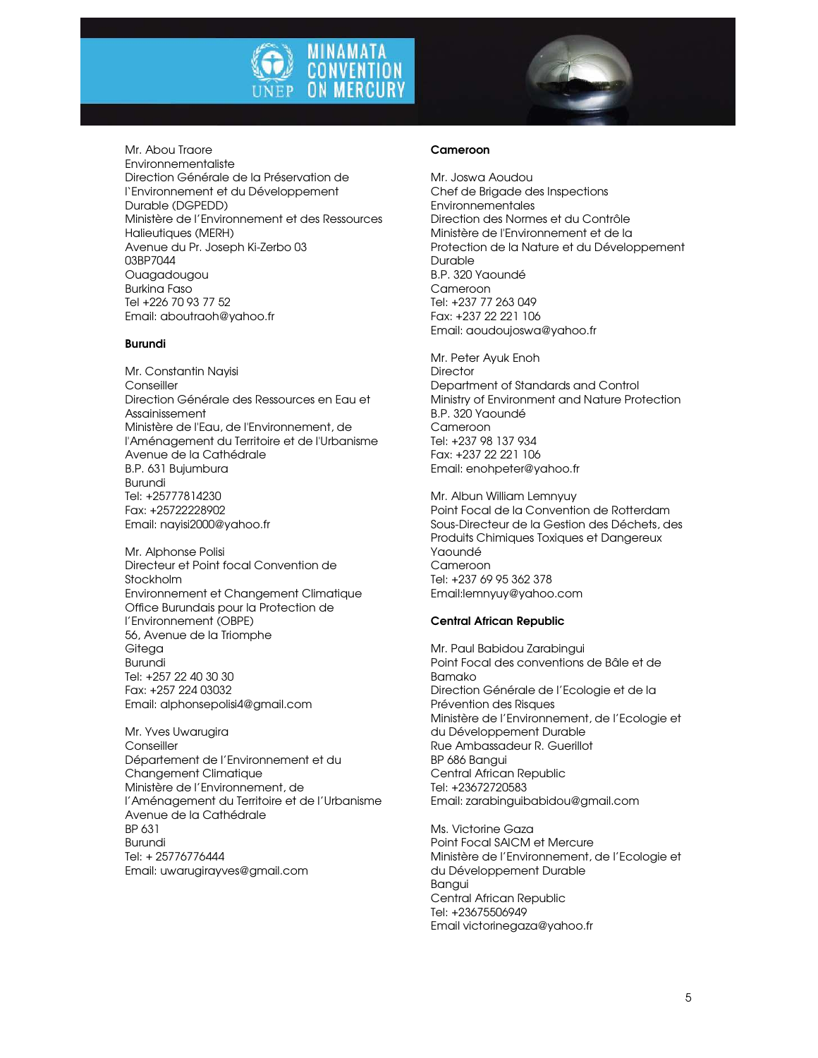



Mr. Abou Traore Environnementaliste Direction Générale de la Préservation de l'Environnement et du Développement Durable (DGPEDD) Ministère de l'Environnement et des Ressources Halieutiques (MERH) Avenue du Pr. Joseph Ki-Zerbo 03 03BP7044 Ouagadougou Burkina Faso Tel +226 70 93 77 52 Email: aboutraoh@yahoo.fr

#### Burundi

Mr. Constantin Nayisi **Conseiller** Direction Générale des Ressources en Eau et Assainissement Ministère de l'Eau, de l'Environnement, de l'Aménagement du Territoire et de l'Urbanisme Avenue de la Cathédrale B.P. 631 Bujumbura Burundi Tel: +25777814230 Fax: +25722228902 Email: nayisi2000@yahoo.fr

Mr. Alphonse Polisi Directeur et Point focal Convention de **Stockholm** Environnement et Changement Climatique Office Burundais pour la Protection de l'Environnement (OBPE) 56, Avenue de la Triomphe **Giteaa** Burundi Tel: +257 22 40 30 30 Fax: +257 224 03032 Email: alphonsepolisi4@gmail.com

Mr. Yves Uwarugira **Conseiller** Département de l'Environnement et du Changement Climatique Ministère de l'Environnement, de l'Aménagement du Territoire et de l'Urbanisme Avenue de la Cathédrale BP 631 Burundi Tel: + 25776776444 Email: uwarugirayves@gmail.com

#### Cameroon

Mr. Joswa Aoudou Chef de Brigade des Inspections Environnementales Direction des Normes et du Contrôle Ministère de l'Environnement et de la Protection de la Nature et du Développement Durable B.P. 320 Yaoundé Cameroon Tel: +237 77 263 049 Fax: +237 22 221 106 Email: aoudoujoswa@yahoo.fr

Mr. Peter Ayuk Enoh **Director** Department of Standards and Control Ministry of Environment and Nature Protection B.P. 320 Yaoundé Cameroon Tel: +237 98 137 934 Fax: +237 22 221 106 Email: enohpeter@yahoo.fr

Mr. Albun William Lemnyuy Point Focal de la Convention de Rotterdam Sous-Directeur de la Gestion des Déchets, des Produits Chimiques Toxiques et Dangereux Yaoundé Cameroon Tel: +237 69 95 362 378 Email:lemnyuy@yahoo.com

#### Central African Republic

Mr. Paul Babidou Zarabingui Point Focal des conventions de Bâle et de Bamako Direction Générale de l'Ecologie et de la Prévention des Risques Ministère de l'Environnement, de l'Ecologie et du Développement Durable Rue Ambassadeur R. Guerillot BP 686 Bangui Central African Republic Tel: +23672720583 Email: zarabinguibabidou@gmail.com

Ms. Victorine Gaza Point Focal SAICM et Mercure Ministère de l'Environnement, de l'Ecologie et du Développement Durable Bangui Central African Republic Tel: +23675506949 Email victorinegaza@yahoo.fr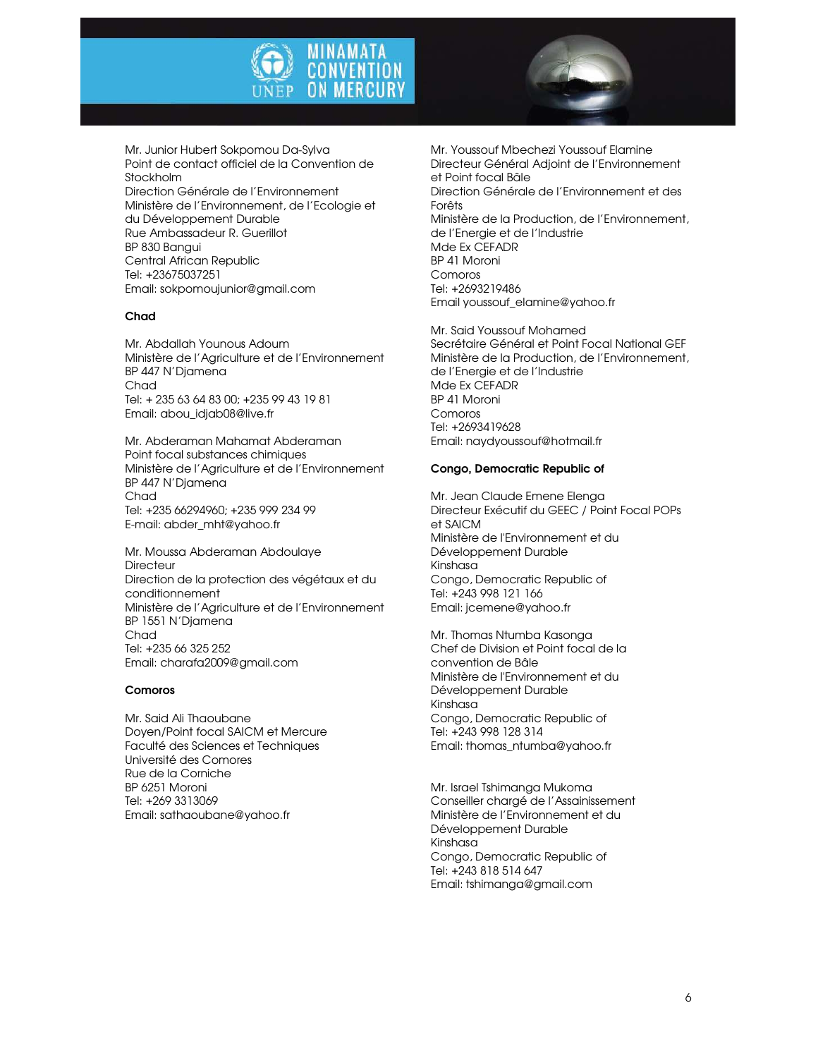



Mr. Junior Hubert Sokpomou Da-Sylva Point de contact officiel de la Convention de Stockholm Direction Générale de l'Environnement Ministère de l'Environnement, de l'Ecologie et du Développement Durable Rue Ambassadeur R. Guerillot BP 830 Bangui Central African Republic Tel: +23675037251 Email: sokpomoujunior@gmail.com

#### Chad

Mr. Abdallah Younous Adoum Ministère de l'Agriculture et de l'Environnement BP 447 N'Djamena Chad Tel: + 235 63 64 83 00; +235 99 43 19 81 Email: abou\_idjab08@live.fr

Mr. Abderaman Mahamat Abderaman Point focal substances chimiques Ministère de l'Agriculture et de l'Environnement BP 447 N'Djamena Chad Tel: +235 66294960; +235 999 234 99 E-mail: abder\_mht@yahoo.fr

Mr. Moussa Abderaman Abdoulaye **Directeur** Direction de la protection des végétaux et du conditionnement Ministère de l'Agriculture et de l'Environnement BP 1551 N'Djamena **Chad** Tel: +235 66 325 252 Email: charafa2009@gmail.com

#### Comoros

Mr. Said Ali Thaoubane Doyen/Point focal SAICM et Mercure Faculté des Sciences et Techniques Université des Comores Rue de la Corniche BP 6251 Moroni Tel: +269 3313069 Email: sathaoubane@yahoo.fr

Mr. Youssouf Mbechezi Youssouf Elamine Directeur Général Adjoint de l'Environnement et Point focal Bâle Direction Générale de l'Environnement et des Forêts Ministère de la Production, de l'Environnement, de l'Energie et de l'Industrie Mde Ex CEFADR BP 41 Moroni Comoros Tel: +2693219486 Email youssouf\_elamine@yahoo.fr

Mr. Said Youssouf Mohamed Secrétaire Général et Point Focal National GEF Ministère de la Production, de l'Environnement, de l'Energie et de l'Industrie Mde Ex CEFADR BP 41 Moroni Comoros Tel: +2693419628 Email: naydyoussouf@hotmail.fr

#### Congo, Democratic Republic of

Mr. Jean Claude Emene Elenga Directeur Exécutif du GEEC / Point Focal POPs et SAICM Ministère de l'Environnement et du Développement Durable Kinshasa Congo, Democratic Republic of Tel: +243 998 121 166 Email: jcemene@yahoo.fr

Mr. Thomas Ntumba Kasonga Chef de Division et Point focal de la convention de Bâle Ministère de l'Environnement et du Développement Durable Kinshasa Congo, Democratic Republic of Tel: +243 998 128 314 Email: thomas\_ntumba@yahoo.fr

Mr. Israel Tshimanga Mukoma Conseiller chargé de l'Assainissement Ministère de l'Environnement et du Développement Durable Kinshasa Congo, Democratic Republic of Tel: +243 818 514 647 Email: tshimanga@gmail.com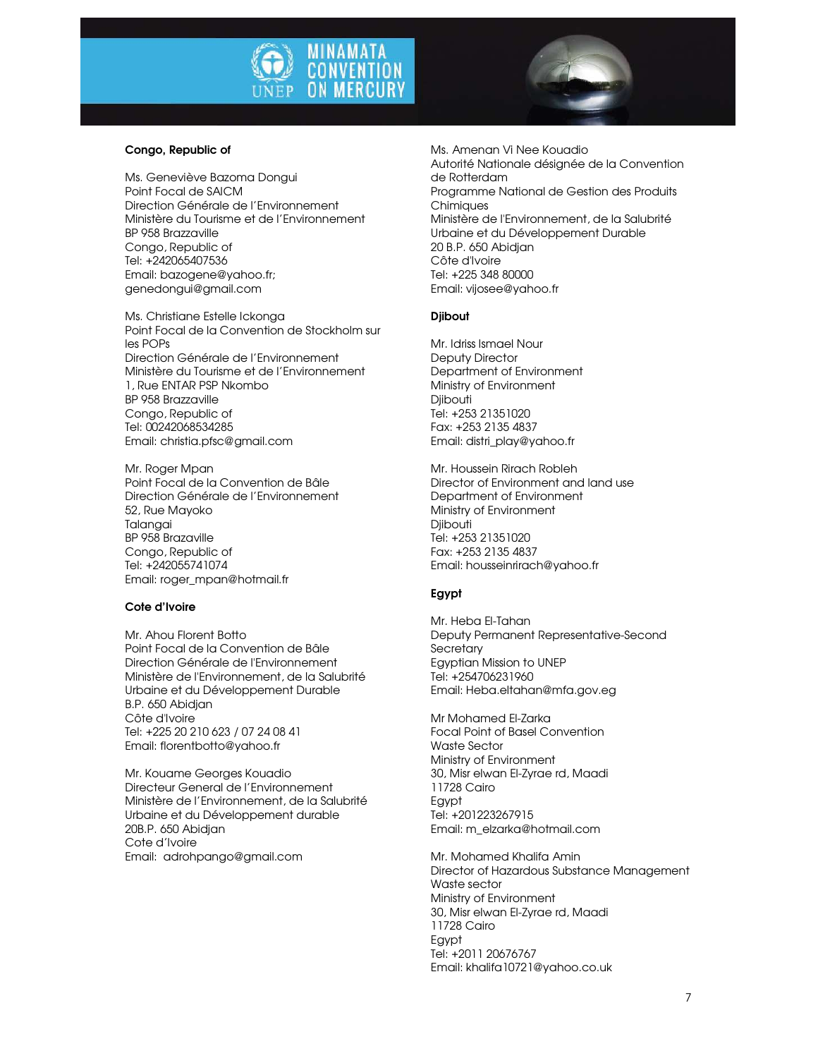

#### Congo, Republic of

Ms. Geneviève Bazoma Dongui Point Focal de SAICM Direction Générale de l'Environnement Ministère du Tourisme et de l'Environnement BP 958 Brazzaville Congo, Republic of Tel: +242065407536 Email: bazogene@yahoo.fr; genedongui@gmail.com

Ms. Christiane Estelle Ickonga Point Focal de la Convention de Stockholm sur les POPs Direction Générale de l'Environnement Ministère du Tourisme et de l'Environnement 1, Rue ENTAR PSP Nkombo BP 958 Brazzaville Congo, Republic of Tel: 00242068534285 Email: christia.pfsc@gmail.com

Mr. Roger Mpan Point Focal de la Convention de Bâle Direction Générale de l'Environnement 52, Rue Mayoko Talangai BP 958 Brazaville Congo, Republic of Tel: +242055741074 Email: roger\_mpan@hotmail.fr

#### Cote d'Ivoire

Mr. Ahou Florent Botto Point Focal de la Convention de Bâle Direction Générale de l'Environnement Ministère de l'Environnement, de la Salubrité Urbaine et du Développement Durable B.P. 650 Abidjan Côte d'Ivoire Tel: +225 20 210 623 / 07 24 08 41 Email: florentbotto@yahoo.fr

Mr. Kouame Georges Kouadio Directeur General de l'Environnement Ministère de l'Environnement, de la Salubrité Urbaine et du Développement durable 20B.P. 650 Abidjan Cote d'Ivoire Email: adrohpango@gmail.com

Ms. Amenan Vi Nee Kouadio Autorité Nationale désignée de la Convention de Rotterdam Programme National de Gestion des Produits **Chimiques** Ministère de l'Environnement, de la Salubrité Urbaine et du Développement Durable 20 B.P. 650 Abidjan Côte d'Ivoire Tel: +225 348 80000 Email: vijosee@yahoo.fr

#### Djibout

Mr. Idriss Ismael Nour Deputy Director Department of Environment Ministry of Environment **Diibouti** Tel: +253 21351020 Fax: +253 2135 4837 Email: distri\_play@yahoo.fr

Mr. Houssein Rirach Robleh Director of Environment and land use Department of Environment Ministry of Environment Djibouti Tel: +253 21351020 Fax: +253 2135 4837 Email: housseinrirach@yahoo.fr

#### Egypt

Mr. Heba El-Tahan Deputy Permanent Representative-Second **Secretary** Egyptian Mission to UNEP Tel: +254706231960 Email: Heba.eltahan@mfa.gov.eg

Mr Mohamed El-Zarka Focal Point of Basel Convention Waste Sector Ministry of Environment 30, Misr elwan El-Zyrae rd, Maadi 11728 Cairo Egypt Tel: +201223267915 Email: m\_elzarka@hotmail.com

Mr. Mohamed Khalifa Amin Director of Hazardous Substance Management Waste sector Ministry of Environment 30, Misr elwan El-Zyrae rd, Maadi 11728 Cairo Egypt Tel: +2011 20676767 Email: khalifa10721@yahoo.co.uk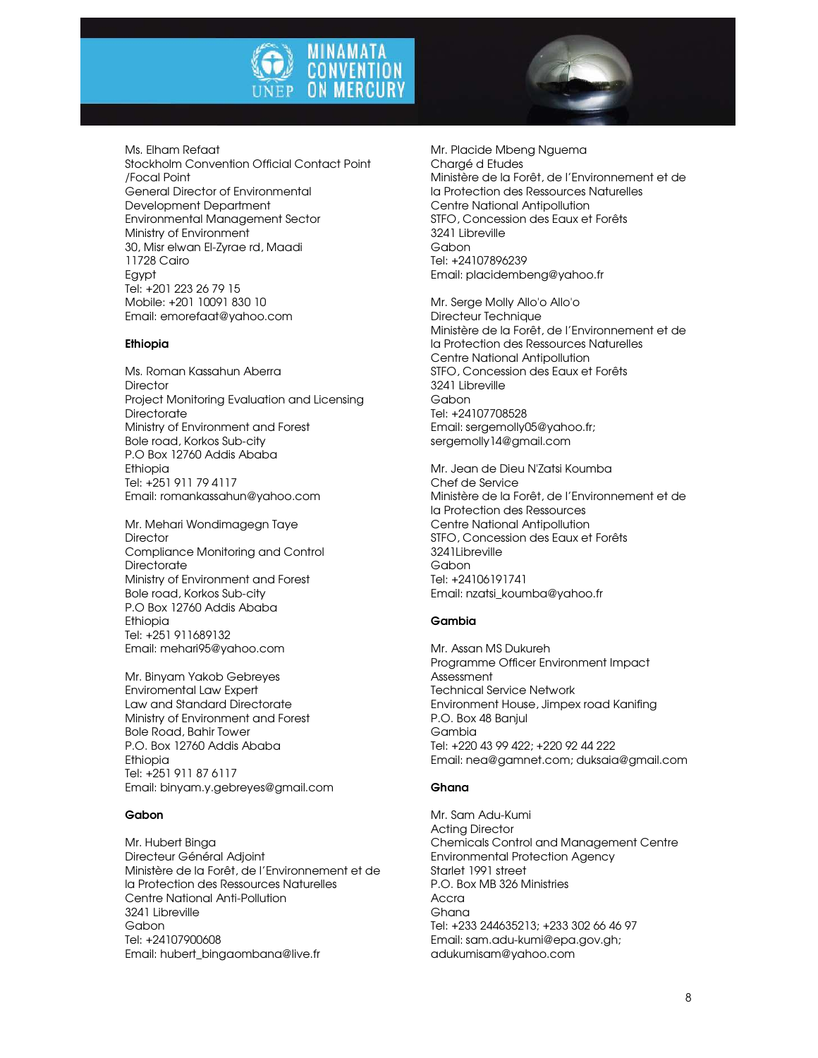



Ms. Elham Refaat Stockholm Convention Official Contact Point /Focal Point General Director of Environmental Development Department Environmental Management Sector Ministry of Environment 30, Misr elwan El-Zyrae rd, Maadi 11728 Cairo **Eavpt** Tel: +201 223 26 79 15 Mobile: +201 10091 830 10 Email: emorefaat@yahoo.com

#### Ethiopia

Ms. Roman Kassahun Aberra **Director** Project Monitoring Evaluation and Licensing **Directorate** Ministry of Environment and Forest Bole road, Korkos Sub-city P.O Box 12760 Addis Ababa Ethiopia Tel: +251 911 79 4117 Email: romankassahun@yahoo.com

Mr. Mehari Wondimagegn Taye **Director** Compliance Monitoring and Control **Directorate** Ministry of Environment and Forest Bole road, Korkos Sub-city P.O Box 12760 Addis Ababa Ethiopia Tel: +251 911689132 Email: mehari95@yahoo.com

Mr. Binyam Yakob Gebreyes Enviromental Law Expert Law and Standard Directorate Ministry of Environment and Forest Bole Road, Bahir Tower P.O. Box 12760 Addis Ababa Ethiopia Tel: +251 911 87 6117 Email: binyam.y.gebreyes@gmail.com

#### Gabon

Mr. Hubert Binga Directeur Général Adjoint Ministère de la Forêt, de l'Environnement et de la Protection des Ressources Naturelles Centre National Anti-Pollution 3241 Libreville Gabon Tel: +24107900608 Email: hubert\_bingaombana@live.fr

Mr. Placide Mbeng Nguema Chargé d Etudes Ministère de la Forêt, de l'Environnement et de la Protection des Ressources Naturelles Centre National Antipollution STFO, Concession des Eaux et Forêts 3241 Libreville Gabon Tel: +24107896239 Email: placidembeng@yahoo.fr

Mr. Serge Molly Allo'o Allo'o Directeur Technique Ministère de la Forêt, de l'Environnement et de la Protection des Ressources Naturelles Centre National Antipollution STFO, Concession des Eaux et Forêts 3241 Libreville Gabon Tel: +24107708528 Email: sergemolly05@yahoo.fr; sergemolly14@gmail.com

Mr. Jean de Dieu N'Zatsi Koumba Chef de Service Ministère de la Forêt, de l'Environnement et de la Protection des Ressources Centre National Antipollution STFO, Concession des Eaux et Forêts 3241Libreville Gabon Tel: +24106191741 Email: nzatsi\_koumba@yahoo.fr

#### Gambia

Mr. Assan MS Dukureh Programme Officer Environment Impact Assessment Technical Service Network Environment House, Jimpex road Kanifing P.O. Box 48 Banjul Gambia Tel: +220 43 99 422; +220 92 44 222 Email: nea@gamnet.com; duksaia@gmail.com

#### Ghana

Mr. Sam Adu-Kumi Acting Director Chemicals Control and Management Centre Environmental Protection Agency Starlet 1991 street P.O. Box MB 326 Ministries Accra Ghana Tel: +233 244635213; +233 302 66 46 97 Email: sam.adu-kumi@epa.gov.gh; adukumisam@yahoo.com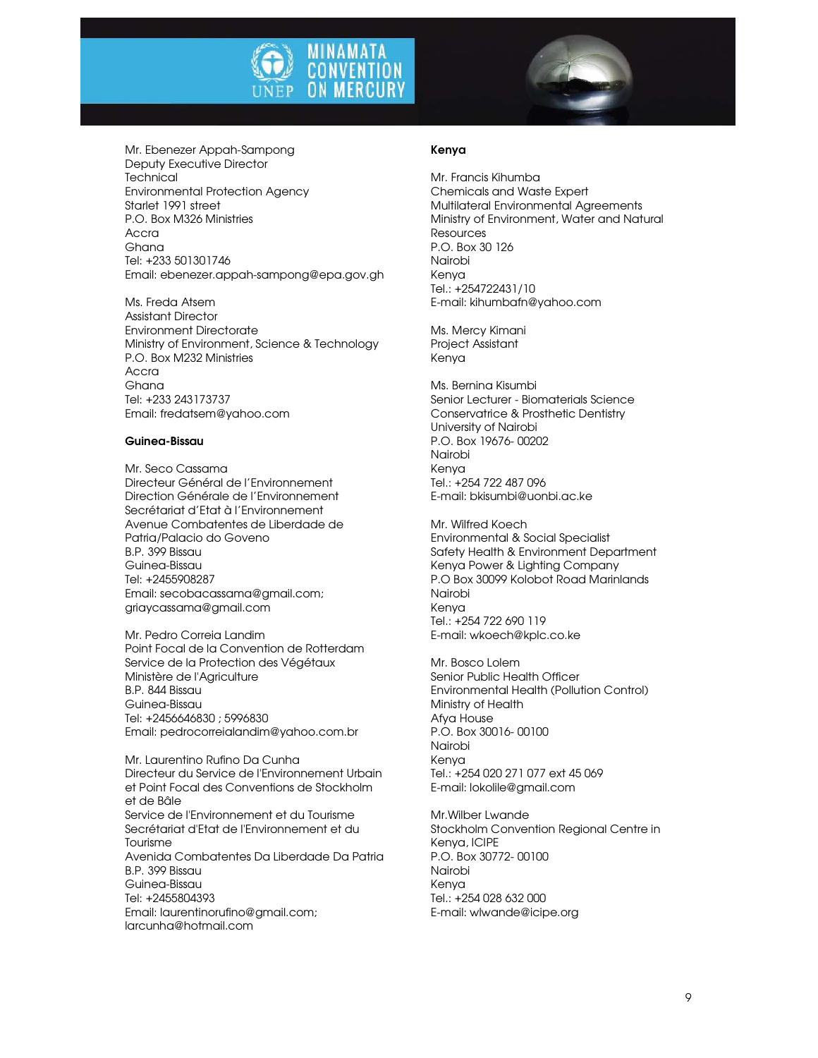



Mr. Ebenezer Appah-Sampong Deputy Executive Director **Technical** Environmental Protection Agency Starlet 1991 street P.O. Box M326 Ministries Accra Ghana Tel: +233 501301746 Email: ebenezer.appah-sampong@epa.gov.gh

Ms. Freda Atsem Assistant Director Environment Directorate Ministry of Environment, Science & Technology P.O. Box M232 Ministries Accra Ghana Tel: +233 243173737 Email: fredatsem@yahoo.com

#### Guinea-Bissau

Mr. Seco Cassama Directeur Général de l'Environnement Direction Générale de l'Environnement Secrétariat d'Etat à l'Environnement Avenue Combatentes de Liberdade de Patria/Palacio do Goveno B.P. 399 Bissau Guinea-Bissau Tel: +2455908287 Email: secobacassama@gmail.com; griaycassama@gmail.com

Mr. Pedro Correia Landim Point Focal de la Convention de Rotterdam Service de la Protection des Végétaux Ministère de l'Agriculture B.P. 844 Bissau Guinea-Bissau Tel: +2456646830 ; 5996830 Email: pedrocorreialandim@yahoo.com.br

Mr. Laurentino Rufino Da Cunha Directeur du Service de l'Environnement Urbain et Point Focal des Conventions de Stockholm et de Bâle Service de l'Environnement et du Tourisme Secrétariat d'Etat de l'Environnement et du Tourisme Avenida Combatentes Da Liberdade Da Patria B.P. 399 Bissau Guinea-Bissau Tel: +2455804393 Email: laurentinorufino@gmail.com; larcunha@hotmail.com

#### Kenya

Mr. Francis Kihumba Chemicals and Waste Expert Multilateral Environmental Agreements Ministry of Environment, Water and Natural Resources P.O. Box 30 126 Nairobi Kenya Tel.: +254722431/10 E-mail: kihumbafn@yahoo.com

Ms. Mercy Kimani Project Assistant Kenya

Ms. Bernina Kisumbi Senior Lecturer - Biomaterials Science Conservatrice & Prosthetic Dentistry University of Nairobi P.O. Box 19676- 00202 Nairobi Kenya Tel.: +254 722 487 096 E-mail: bkisumbi@uonbi.ac.ke

Mr. Wilfred Koech Environmental & Social Specialist Safety Health & Environment Department Kenya Power & Lighting Company P.O Box 30099 Kolobot Road Marinlands Nairobi Kenya Tel.: +254 722 690 119 E-mail: wkoech@kplc.co.ke

Mr. Bosco Lolem Senior Public Health Officer Environmental Health (Pollution Control) Ministry of Health Afya House P.O. Box 30016- 00100 Nairobi Kenya Tel.: +254 020 271 077 ext 45 069 E-mail: lokolile@gmail.com

Mr.Wilber Lwande Stockholm Convention Regional Centre in Kenya, ICIPE P.O. Box 30772- 00100 Nairobi Kenya Tel.: +254 028 632 000 E-mail: wlwande@icipe.org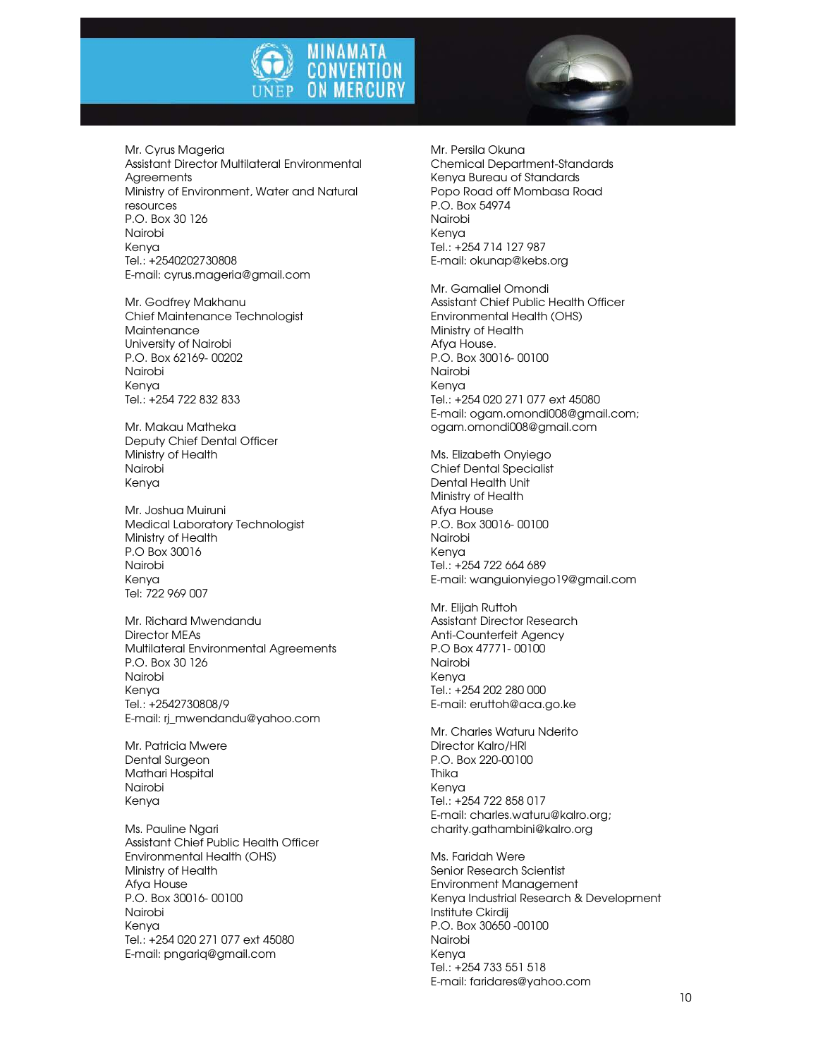



Mr. Cyrus Mageria Assistant Director Multilateral Environmental **Agreements** Ministry of Environment, Water and Natural resources P.O. Box 30 126 Nairobi Kenya Tel.: +2540202730808 E-mail: cyrus.mageria@gmail.com

Mr. Godfrey Makhanu Chief Maintenance Technologist **Maintenance** University of Nairobi P.O. Box 62169- 00202 Nairobi Kenya Tel.: +254 722 832 833

Mr. Makau Matheka Deputy Chief Dental Officer Ministry of Health Nairobi Kenya

Mr. Joshua Muiruni Medical Laboratory Technologist Ministry of Health P.O Box 30016 Nairobi Kenya Tel: 722 969 007

Mr. Richard Mwendandu Director MEAs Multilateral Environmental Agreements P.O. Box 30 126 Nairobi Kenya Tel.: +2542730808/9 E-mail: rj\_mwendandu@yahoo.com

Mr. Patricia Mwere Dental Surgeon Mathari Hospital Nairobi Kenya

Ms. Pauline Ngari Assistant Chief Public Health Officer Environmental Health (OHS) Ministry of Health Afya House P.O. Box 30016- 00100 Nairobi Kenya Tel.: +254 020 271 077 ext 45080 E-mail: pngariq@gmail.com

Mr. Persila Okuna Chemical Department-Standards Kenya Bureau of Standards Popo Road off Mombasa Road P.O. Box 54974 Nairobi Kenya Tel.: +254 714 127 987 E-mail: okunap@kebs.org

Mr. Gamaliel Omondi Assistant Chief Public Health Officer Environmental Health (OHS) Ministry of Health Afya House. P.O. Box 30016- 00100 Nairobi Kenya Tel.: +254 020 271 077 ext 45080 E-mail: ogam.omondi008@gmail.com; ogam.omondi008@gmail.com

Ms. Elizabeth Onyiego Chief Dental Specialist Dental Health Unit Ministry of Health Afya House P.O. Box 30016- 00100 Nairobi Kenya Tel.: +254 722 664 689 E-mail: wanguionyiego19@gmail.com

Mr. Elijah Ruttoh Assistant Director Research Anti-Counterfeit Agency P.O Box 47771- 00100 Nairobi Kenya Tel.: +254 202 280 000 E-mail: eruttoh@aca.go.ke

Mr. Charles Waturu Nderito Director Kalro/HRI P.O. Box 220-00100 Thika Kenya Tel.: +254 722 858 017 E-mail: charles.waturu@kalro.org; charity.gathambini@kalro.org

Ms. Faridah Were Senior Research Scientist Environment Management Kenya Industrial Research & Development Institute Ckirdij P.O. Box 30650 -00100 Nairobi Kenya Tel.: +254 733 551 518 E-mail: faridares@yahoo.com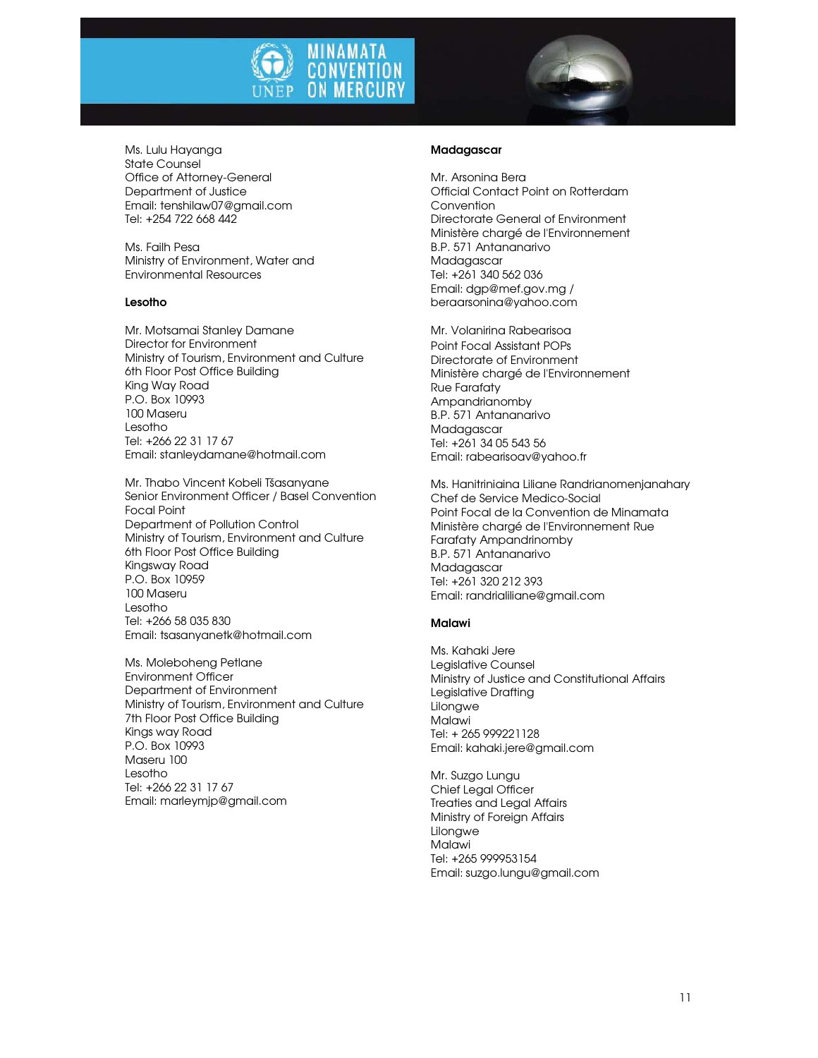



Ms. Lulu Hayanga State Counsel Office of Attorney-General Department of Justice Email: tenshilaw07@gmail.com Tel: +254 722 668 442

Ms. Failh Pesa Ministry of Environment, Water and Environmental Resources

#### Lesotho

Mr. Motsamai Stanley Damane Director for Environment Ministry of Tourism, Environment and Culture 6th Floor Post Office Building King Way Road P.O. Box 10993 100 Maseru Lesotho Tel: +266 22 31 17 67 Email: stanleydamane@hotmail.com

Mr. Thabo Vincent Kobeli Tšasanyane Senior Environment Officer / Basel Convention Focal Point Department of Pollution Control Ministry of Tourism, Environment and Culture 6th Floor Post Office Building Kingsway Road P.O. Box 10959 100 Maseru Lesotho Tel: +266 58 035 830 Email: tsasanyanetk@hotmail.com

Ms. Moleboheng Petlane Environment Officer Department of Environment Ministry of Tourism, Environment and Culture 7th Floor Post Office Building Kings way Road P.O. Box 10993 Maseru 100 Lesotho Tel: +266 22 31 17 67 Email: marleymjp@gmail.com

#### **Madagascar**

Mr. Arsonina Bera Official Contact Point on Rotterdam Convention Directorate General of Environment Ministère chargé de l'Environnement B.P. 571 Antananarivo Madagascar Tel: +261 340 562 036 Email: dgp@mef.gov.mg / beraarsonina@yahoo.com

Mr. Volanirina Rabearisoa Point Focal Assistant POPs Directorate of Environment Ministère chargé de l'Environnement Rue Farafaty Ampandrianomby B.P. 571 Antananarivo Madagascar Tel: +261 34 05 543 56 Email: rabearisoav@yahoo.fr

Ms. Hanitriniaina Liliane Randrianomenjanahary Chef de Service Medico-Social Point Focal de la Convention de Minamata Ministère chargé de l'Environnement Rue Farafaty Ampandrinomby B.P. 571 Antananarivo Madagascar Tel: +261 320 212 393 Email: randrialiliane@gmail.com

#### Malawi

Ms. Kahaki Jere Legislative Counsel Ministry of Justice and Constitutional Affairs Legislative Drafting Lilongwe **Malawi** Tel: + 265 999221128 Email: kahaki.jere@gmail.com

Mr. Suzgo Lungu Chief Legal Officer Treaties and Legal Affairs Ministry of Foreign Affairs Lilongwe Malawi Tel: +265 999953154 Email: suzgo.lungu@gmail.com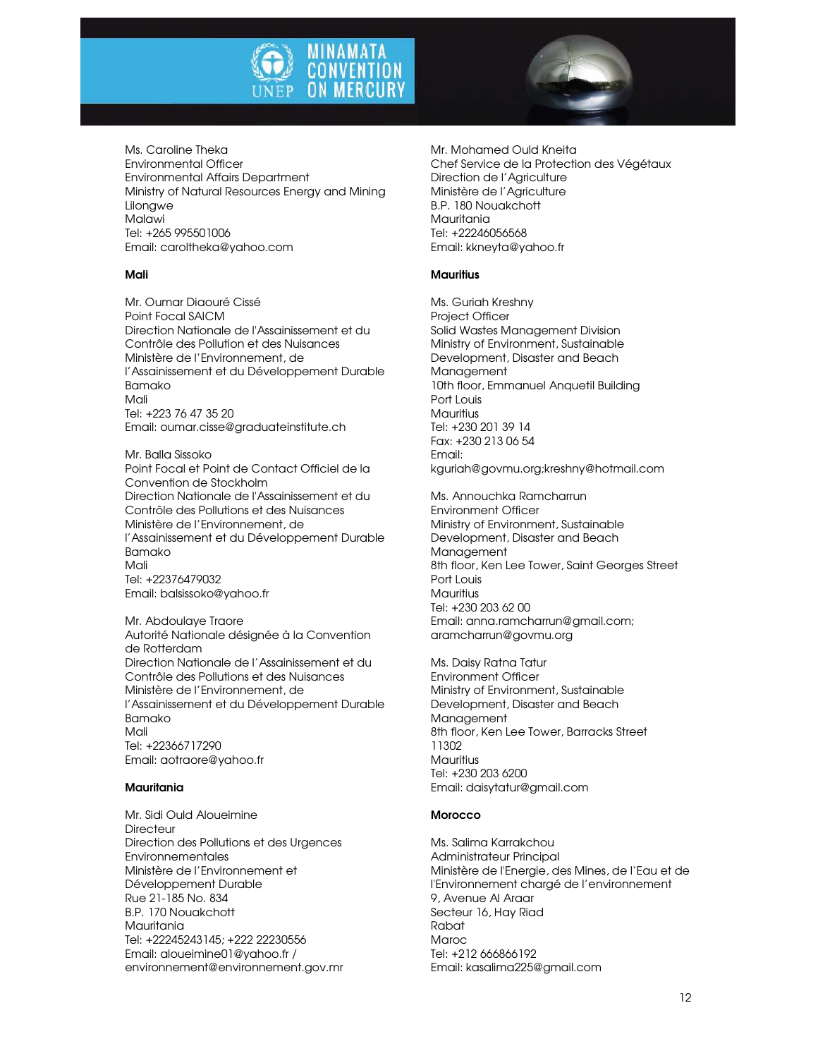



Ms. Caroline Theka Environmental Officer Environmental Affairs Department Ministry of Natural Resources Energy and Mining Lilongwe **Malawi** Tel: +265 995501006 Email: caroltheka@yahoo.com

#### Mali

Mr. Oumar Diaouré Cissé Point Focal SAICM Direction Nationale de l'Assainissement et du Contrôle des Pollution et des Nuisances Ministère de l'Environnement, de l'Assainissement et du Développement Durable Bamako Mali Tel: +223 76 47 35 20 Email: oumar.cisse@graduateinstitute.ch

Mr. Balla Sissoko Point Focal et Point de Contact Officiel de la Convention de Stockholm Direction Nationale de l'Assainissement et du Contrôle des Pollutions et des Nuisances Ministère de l'Environnement, de l'Assainissement et du Développement Durable Bamako Mali Tel: +22376479032 Email: balsissoko@yahoo.fr

Mr. Abdoulaye Traore Autorité Nationale désignée à la Convention de Rotterdam Direction Nationale de l'Assainissement et du Contrôle des Pollutions et des Nuisances Ministère de l'Environnement, de l'Assainissement et du Développement Durable Bamako Mali Tel: +22366717290 Email: aotraore@yahoo.fr

#### Mauritania

Mr. Sidi Ould Aloueimine **Directeur** Direction des Pollutions et des Urgences Environnementales Ministère de l'Environnement et Développement Durable Rue 21-185 No. 834 B.P. 170 Nouakchott Mauritania Tel: +22245243145; +222 22230556 Email: aloueimine01@yahoo.fr / environnement@environnement.gov.mr Mr. Mohamed Ould Kneita Chef Service de la Protection des Végétaux Direction de l'Agriculture Ministère de l'Agriculture B.P. 180 Nouakchott Mauritania Tel: +22246056568 Email: kkneyta@yahoo.fr

#### **Mauritius**

Ms. Guriah Kreshny Project Officer Solid Wastes Management Division Ministry of Environment, Sustainable Development, Disaster and Beach **Management** 10th floor, Emmanuel Anquetil Building Port Louis **Mauritius** Tel: +230 201 39 14 Fax: +230 213 06 54 Email: kguriah@govmu.org;kreshny@hotmail.com

Ms. Annouchka Ramcharrun Environment Officer Ministry of Environment, Sustainable Development, Disaster and Beach Management 8th floor, Ken Lee Tower, Saint Georges Street Port Louis Mauritius Tel: +230 203 62 00 Email: anna.ramcharrun@gmail.com; aramcharrun@govmu.org

Ms. Daisy Ratna Tatur Environment Officer Ministry of Environment, Sustainable Development, Disaster and Beach Management 8th floor, Ken Lee Tower, Barracks Street 11302 **Mauritius** Tel: +230 203 6200 Email: daisytatur@gmail.com

#### **Morocco**

Ms. Salima Karrakchou Administrateur Principal Ministère de l'Energie, des Mines, de l'Eau et de l'Environnement chargé de l'environnement 9, Avenue Al Araar Secteur 16, Hay Riad Rabat Maroc Tel: +212 666866192 Email: kasalima225@gmail.com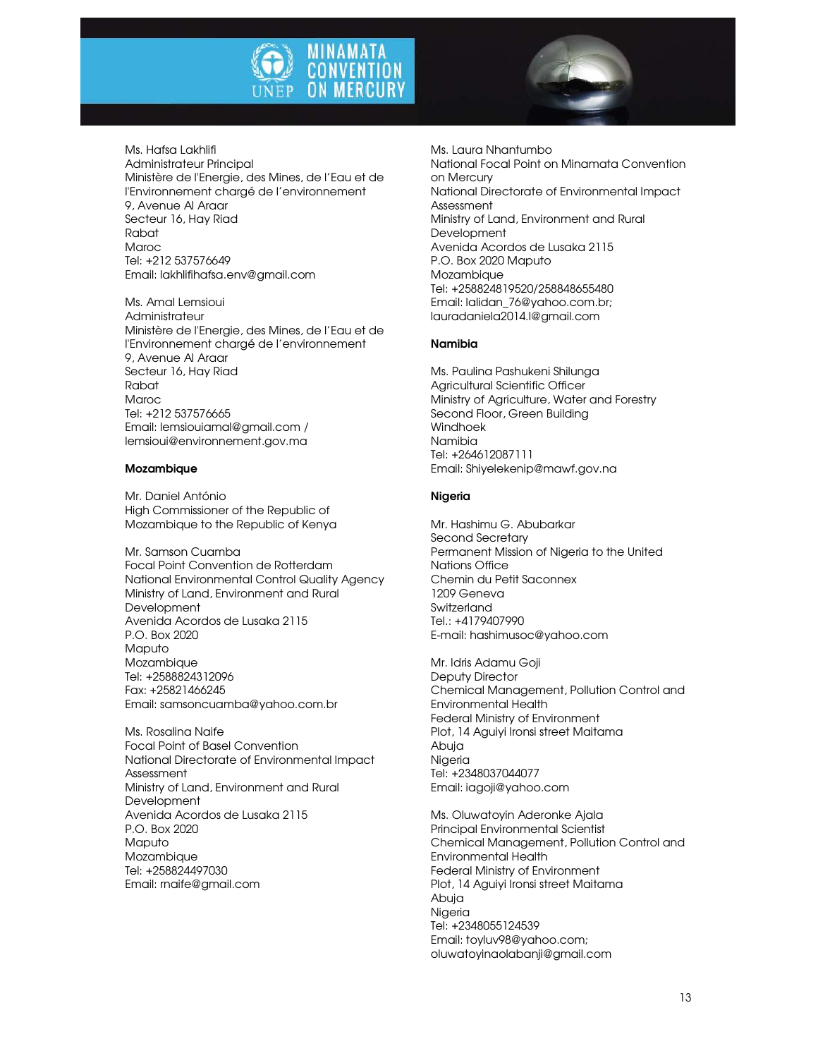



Ms. Hafsa Lakhlifi Administrateur Principal Ministère de l'Energie, des Mines, de l'Eau et de l'Environnement chargé de l'environnement 9, Avenue Al Araar Secteur 16, Hay Riad Rabat Maroc Tel: +212 537576649 Email: lakhlifihafsa.env@gmail.com

Ms. Amal Lemsioui Administrateur Ministère de l'Energie, des Mines, de l'Eau et de l'Environnement chargé de l'environnement 9, Avenue Al Araar Secteur 16, Hay Riad Rabat Maroc Tel: +212 537576665 Email: lemsiouiamal@gmail.com / lemsioui@environnement.gov.ma

#### Mozambique

Mr. Daniel António High Commissioner of the Republic of Mozambique to the Republic of Kenya

Mr. Samson Cuamba Focal Point Convention de Rotterdam National Environmental Control Quality Agency Ministry of Land, Environment and Rural Development Avenida Acordos de Lusaka 2115 P.O. Box 2020 **Maputo** Mozambique Tel: +2588824312096 Fax: +25821466245 Email: samsoncuamba@yahoo.com.br

Ms. Rosalina Naife Focal Point of Basel Convention National Directorate of Environmental Impact Assessment Ministry of Land, Environment and Rural **Development** Avenida Acordos de Lusaka 2115 P.O. Box 2020 **Maputo** Mozambique Tel: +258824497030 Email: rnaife@gmail.com

Ms. Laura Nhantumbo National Focal Point on Minamata Convention on Mercury National Directorate of Environmental Impact Assessment Ministry of Land, Environment and Rural **Development** Avenida Acordos de Lusaka 2115 P.O. Box 2020 Maputo Mozambique Tel: +258824819520/258848655480 Email: lalidan\_76@yahoo.com.br; lauradaniela2014.l@gmail.com

#### Namibia

Ms. Paulina Pashukeni Shilunga Agricultural Scientific Officer Ministry of Agriculture, Water and Forestry Second Floor, Green Building Windhoek Namibia Tel: +264612087111 Email: Shiyelekenip@mawf.gov.na

#### Nigeria

Mr. Hashimu G. Abubarkar Second Secretary Permanent Mission of Nigeria to the United Nations Office Chemin du Petit Saconnex 1209 Geneva Switzerland Tel.: +4179407990 E-mail: hashimusoc@yahoo.com

Mr. Idris Adamu Goji Deputy Director Chemical Management, Pollution Control and Environmental Health Federal Ministry of Environment Plot, 14 Aguiyi Ironsi street Maitama Abuja Nigeria Tel: +2348037044077 Email: iagoji@yahoo.com

Ms. Oluwatoyin Aderonke Ajala Principal Environmental Scientist Chemical Management, Pollution Control and Environmental Health Federal Ministry of Environment Plot, 14 Aguiyi Ironsi street Maitama Abuja Nigeria Tel: +2348055124539 Email: toyluv98@yahoo.com; oluwatoyinaolabanji@gmail.com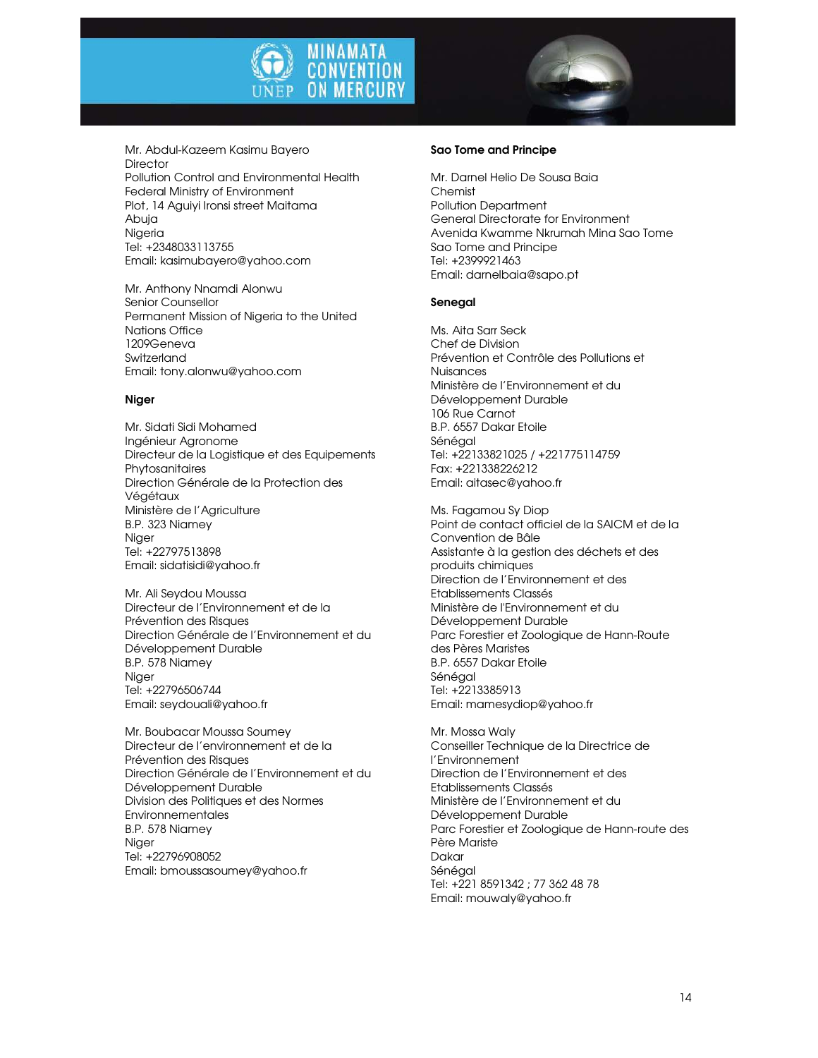



Mr. Abdul-Kazeem Kasimu Bayero **Director** Pollution Control and Environmental Health Federal Ministry of Environment Plot, 14 Aguiyi Ironsi street Maitama Abuja Nigeria Tel: +2348033113755 Email: kasimubayero@yahoo.com

Mr. Anthony Nnamdi Alonwu Senior Counsellor Permanent Mission of Nigeria to the United Nations Office 1209Geneva Switzerland Email: tony.alonwu@yahoo.com

#### Niger

Mr. Sidati Sidi Mohamed Ingénieur Agronome Directeur de la Logistique et des Equipements Phytosanitaires Direction Générale de la Protection des Végétaux Ministère de l'Agriculture B.P. 323 Niamey Niger Tel: +22797513898 Email: sidatisidi@yahoo.fr

Mr. Ali Seydou Moussa Directeur de l'Environnement et de la Prévention des Risques Direction Générale de l'Environnement et du Développement Durable B.P. 578 Niamey Niger Tel: +22796506744 Email: seydouali@yahoo.fr

Mr. Boubacar Moussa Soumey Directeur de l'environnement et de la Prévention des Risques Direction Générale de l'Environnement et du Développement Durable Division des Politiques et des Normes Environnementales B.P. 578 Niamey Niger Tel: +22796908052 Email: bmoussasoumey@yahoo.fr

#### Sao Tome and Principe

Mr. Darnel Helio De Sousa Baia Chemist Pollution Department General Directorate for Environment Avenida Kwamme Nkrumah Mina Sao Tome Sao Tome and Principe Tel: +2399921463 Email: darnelbaia@sapo.pt

#### Senegal

Ms. Aita Sarr Seck Chef de Division Prévention et Contrôle des Pollutions et Nuisances Ministère de l'Environnement et du Développement Durable 106 Rue Carnot B.P. 6557 Dakar Etoile Sénégal Tel: +22133821025 / +221775114759 Fax: +221338226212 Email: aitasec@yahoo.fr

Ms. Fagamou Sy Diop Point de contact officiel de la SAICM et de la Convention de Bâle Assistante à la gestion des déchets et des produits chimiques Direction de l'Environnement et des Etablissements Classés Ministère de l'Environnement et du Développement Durable Parc Forestier et Zoologique de Hann-Route des Pères Maristes B.P. 6557 Dakar Etoile Sénégal Tel: +2213385913 Email: mamesydiop@yahoo.fr

Mr. Mossa Waly Conseiller Technique de la Directrice de l'Environnement Direction de l'Environnement et des Etablissements Classés Ministère de l'Environnement et du Développement Durable Parc Forestier et Zoologique de Hann-route des Père Mariste Dakar Sénégal Tel: +221 8591342 ; 77 362 48 78 Email: mouwaly@yahoo.fr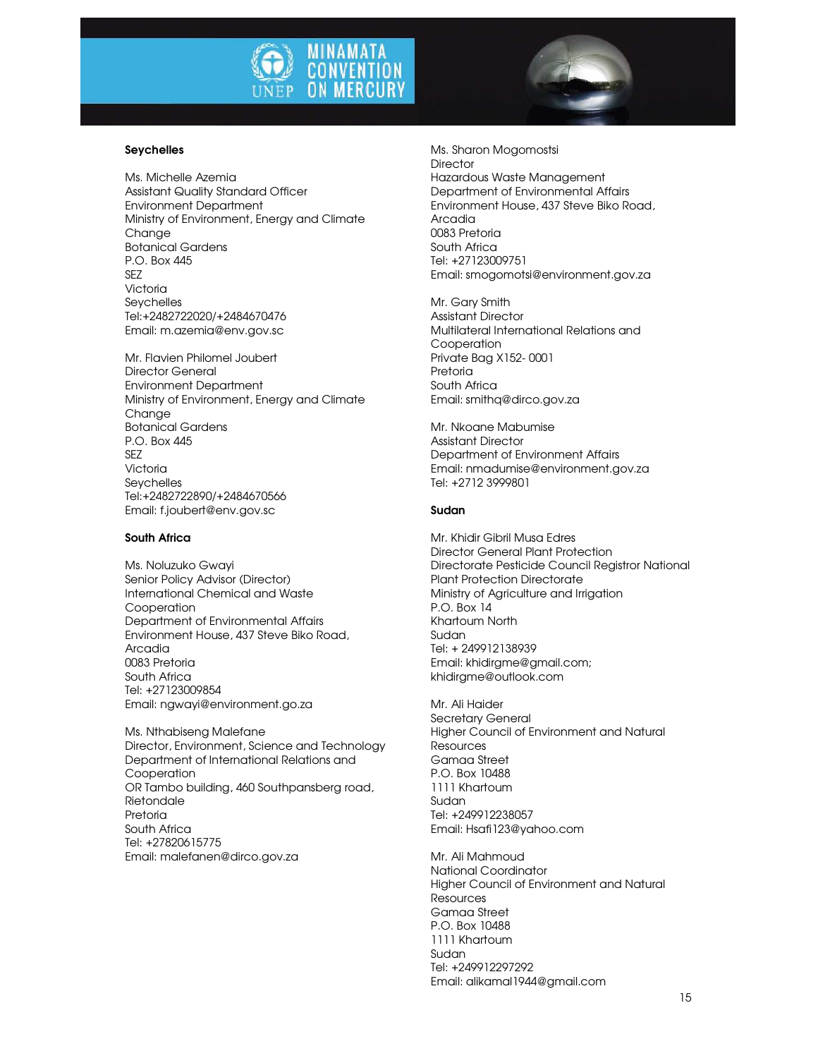

#### Seychelles

Ms. Michelle Azemia Assistant Quality Standard Officer Environment Department Ministry of Environment, Energy and Climate Chanae Botanical Gardens P.O. Box 445 S<sub>F7</sub> Victoria Seychelles Tel:+2482722020/+2484670476 Email: m.azemia@env.gov.sc

Mr. Flavien Philomel Joubert Director General Environment Department Ministry of Environment, Energy and Climate Change Botanical Gardens P.O. Box 445 SEZ Victoria **Sevchelles** Tel:+2482722890/+2484670566 Email: f.joubert@env.gov.sc

#### South Africa

Ms. Noluzuko Gwayi Senior Policy Advisor (Director) International Chemical and Waste Cooperation Department of Environmental Affairs Environment House, 437 Steve Biko Road, Arcadia 0083 Pretoria South Africa Tel: +27123009854 Email: ngwayi@environment.go.za

Ms. Nthabiseng Malefane Director, Environment, Science and Technology Department of International Relations and Cooperation OR Tambo building, 460 Southpansberg road, Rietondale Pretoria South Africa Tel: +27820615775 Email: malefanen@dirco.gov.za

Ms. Sharon Mogomostsi **Director** Hazardous Waste Management Department of Environmental Affairs Environment House, 437 Steve Biko Road, Arcadia 0083 Pretoria South Africa Tel: +27123009751 Email: smogomotsi@environment.gov.za

Mr. Gary Smith Assistant Director Multilateral International Relations and **Cooperation** Private Bag X152- 0001 Pretoria South Africa Email: smithq@dirco.gov.za

Mr. Nkoane Mabumise Assistant Director Department of Environment Affairs Email: nmadumise@environment.gov.za Tel: +2712 3999801

#### Sudan

Mr. Khidir Gibril Musa Edres Director General Plant Protection Directorate Pesticide Council Registror National Plant Protection Directorate Ministry of Agriculture and Irrigation P.O. Box 14 Khartoum North Sudan Tel: + 249912138939 Email: khidirgme@gmail.com; khidirgme@outlook.com

Mr. Ali Haider Secretary General Higher Council of Environment and Natural Resources Gamaa Street P.O. Box 10488 1111 Khartoum Sudan Tel: +249912238057 Email: Hsafi123@yahoo.com

Mr. Ali Mahmoud National Coordinator Higher Council of Environment and Natural **Resources** Gamaa Street P.O. Box 10488 1111 Khartoum Sudan Tel: +249912297292 Email: alikamal1944@gmail.com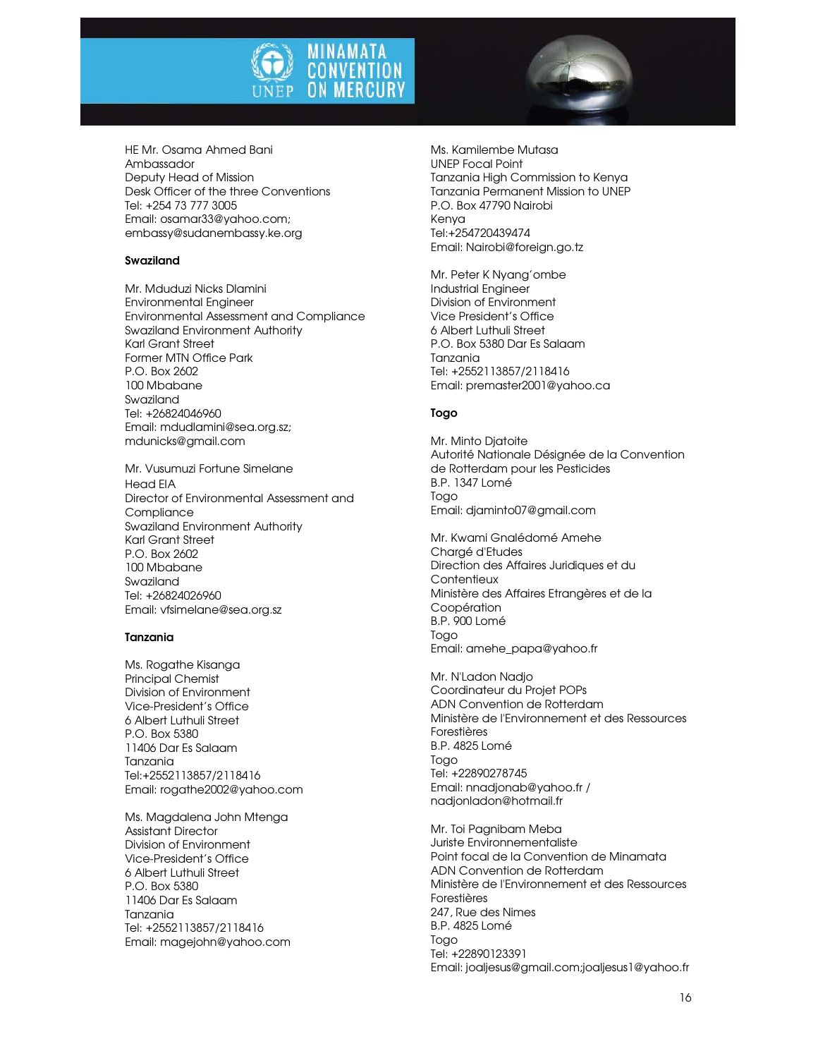



HE Mr. Osama Ahmed Bani Ambassador Deputy Head of Mission Desk Officer of the three Conventions Tel: +254 73 777 3005 Email: osamar33@yahoo.com; embassy@sudanembassy.ke.org

#### Swaziland

Mr. Mduduzi Nicks Dlamini Environmental Engineer Environmental Assessment and Compliance Swaziland Environment Authority Karl Grant Street Former MTN Office Park P.O. Box 2602 100 Mbabane Swaziland Tel: +26824046960 Email: mdudlamini@sea.org.sz; mdunicks@gmail.com

Mr. Vusumuzi Fortune Simelane Head EIA Director of Environmental Assessment and **Compliance** Swaziland Environment Authority Karl Grant Street P.O. Box 2602 100 Mbabane Swaziland Tel: +26824026960 Email: vfsimelane@sea.org.sz

#### Tanzania

Ms. Rogathe Kisanga Principal Chemist Division of Environment Vice-President's Office 6 Albert Luthuli Street P.O. Box 5380 11406 Dar Es Salaam Tanzania Tel:+2552113857/2118416 Email: rogathe2002@yahoo.com

Ms. Magdalena John Mtenga Assistant Director Division of Environment Vice-President's Office 6 Albert Luthuli Street P.O. Box 5380 11406 Dar Es Salaam Tanzania Tel: +2552113857/2118416 Email: magejohn@yahoo.com Ms. Kamilembe Mutasa UNEP Focal Point Tanzania High Commission to Kenya Tanzania Permanent Mission to UNEP P.O. Box 47790 Nairobi Kenya Tel:+254720439474 Email: Nairobi@foreign.go.tz

Mr. Peter K Nyang'ombe Industrial Engineer Division of Environment Vice President's Office 6 Albert Luthuli Street P.O. Box 5380 Dar Es Salaam Tanzania Tel: +2552113857/2118416 Email: premaster2001@yahoo.ca

#### Togo

Mr. Minto Djatoite Autorité Nationale Désignée de la Convention de Rotterdam pour les Pesticides B.P. 1347 Lomé Togo Email: djaminto07@gmail.com

Mr. Kwami Gnalédomé Amehe Chargé d'Etudes Direction des Affaires Juridiques et du **Contentieux** Ministère des Affaires Etrangères et de la Coopération B.P. 900 Lomé Togo Email: amehe\_papa@yahoo.fr

Mr. N'Ladon Nadjo Coordinateur du Projet POPs ADN Convention de Rotterdam Ministère de l'Environnement et des Ressources Forestières B.P. 4825 Lomé Togo Tel: +22890278745 Email: nnadjonab@yahoo.fr / nadjonladon@hotmail.fr

Mr. Toi Pagnibam Meba Juriste Environnementaliste Point focal de la Convention de Minamata ADN Convention de Rotterdam Ministère de l'Environnement et des Ressources Forestières 247, Rue des Nimes B.P. 4825 Lomé Togo Tel: +22890123391 Email: joaljesus@gmail.com;joaljesus1@yahoo.fr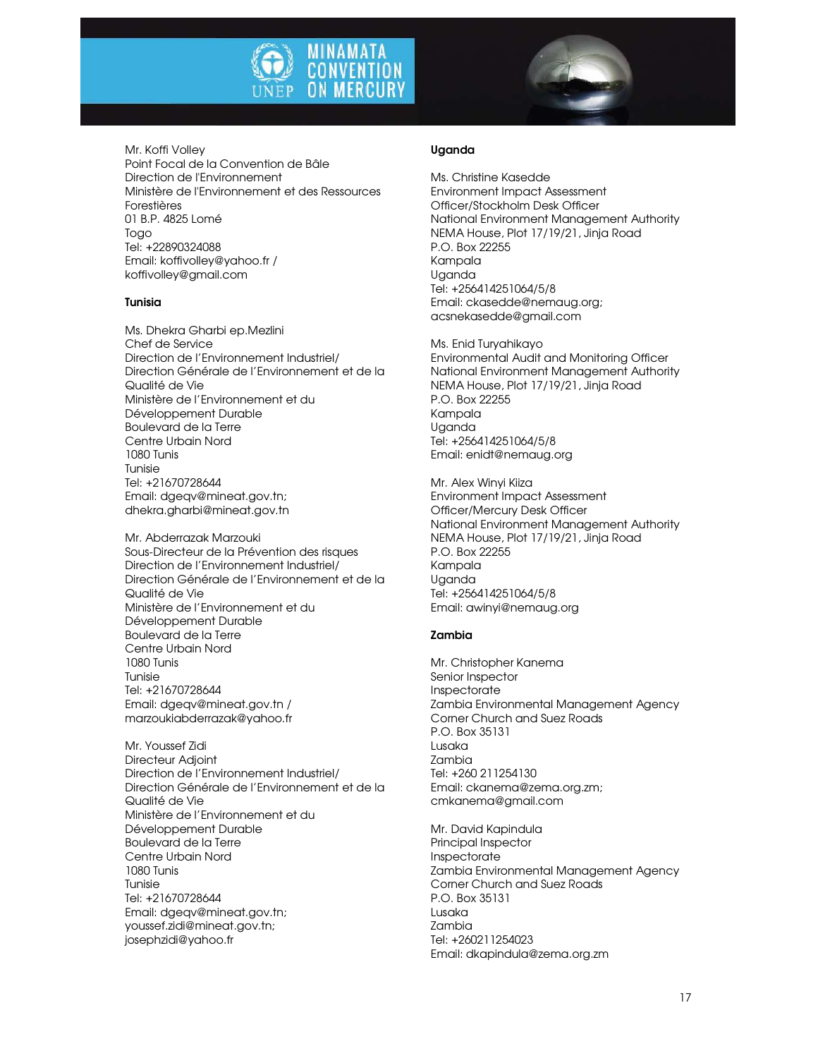



Mr. Koffi Volley Point Focal de la Convention de Bâle Direction de l'Environnement Ministère de l'Environnement et des Ressources Forestières 01 B.P. 4825 Lomé Togo Tel: +22890324088 Email: koffivolley@yahoo.fr / koffivolley@gmail.com

#### Tunisia

Ms. Dhekra Gharbi ep.Mezlini Chef de Service Direction de l'Environnement Industriel/ Direction Générale de l'Environnement et de la Qualité de Vie Ministère de l'Environnement et du Développement Durable Boulevard de la Terre Centre Urbain Nord 1080 Tunis Tunisie Tel: +21670728644 Email: dgeqv@mineat.gov.tn; dhekra.gharbi@mineat.gov.tn

Mr. Abderrazak Marzouki Sous-Directeur de la Prévention des risques Direction de l'Environnement Industriel/ Direction Générale de l'Environnement et de la Qualité de Vie Ministère de l'Environnement et du Développement Durable Boulevard de la Terre Centre Urbain Nord 1080 Tunis Tunisie Tel: +21670728644 Email: dgeqv@mineat.gov.tn / marzoukiabderrazak@yahoo.fr

Mr. Youssef Zidi Directeur Adjoint Direction de l'Environnement Industriel/ Direction Générale de l'Environnement et de la Qualité de Vie Ministère de l'Environnement et du Développement Durable Boulevard de la Terre Centre Urbain Nord 1080 Tunis Tunisie Tel: +21670728644 Email: dgeqv@mineat.gov.tn; youssef.zidi@mineat.gov.tn; josephzidi@yahoo.fr

#### Uganda

Ms. Christine Kasedde Environment Impact Assessment Officer/Stockholm Desk Officer National Environment Management Authority NEMA House, Plot 17/19/21, Jinja Road P.O. Box 22255 Kampala Uganda Tel: +256414251064/5/8 Email: ckasedde@nemaug.org; acsnekasedde@gmail.com

Ms. Enid Turyahikayo Environmental Audit and Monitoring Officer National Environment Management Authority NEMA House, Plot 17/19/21, Jinja Road P.O. Box 22255 Kampala Uganda Tel: +256414251064/5/8 Email: enidt@nemaug.org

Mr. Alex Winyi Kiiza Environment Impact Assessment Officer/Mercury Desk Officer National Environment Management Authority NEMA House, Plot 17/19/21, Jinja Road P.O. Box 22255 Kampala Uganda Tel: +256414251064/5/8 Email: awinyi@nemaug.org

#### Zambia

Mr. Christopher Kanema Senior Inspector Inspectorate Zambia Environmental Management Agency Corner Church and Suez Roads P.O. Box 35131 Lusaka Zambia Tel: +260 211254130 Email: ckanema@zema.org.zm; cmkanema@gmail.com

Mr. David Kapindula Principal Inspector Inspectorate Zambia Environmental Management Agency Corner Church and Suez Roads P.O. Box 35131 Lusaka Zambia Tel: +260211254023 Email: dkapindula@zema.org.zm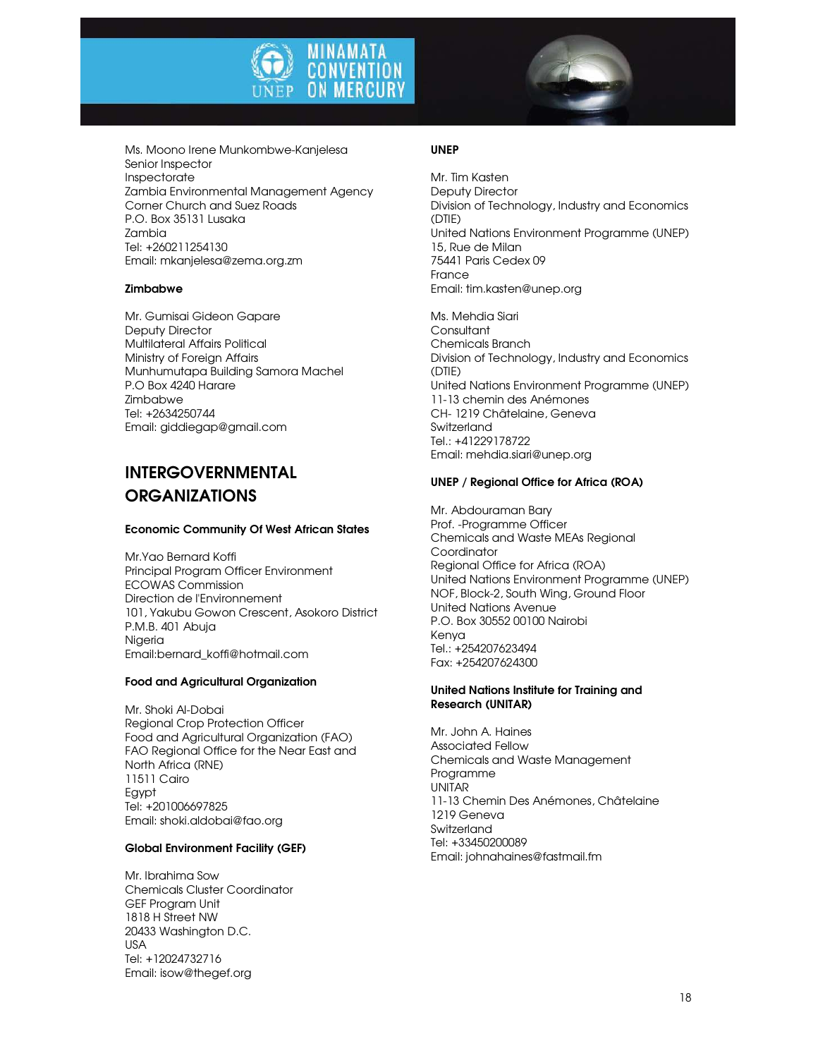



Ms. Moono Irene Munkombwe-Kanjelesa Senior Inspector Inspectorate Zambia Environmental Management Agency Corner Church and Suez Roads P.O. Box 35131 Lusaka Zambia Tel: +260211254130 Email: mkanjelesa@zema.org.zm

#### Zimbabwe

Mr. Gumisai Gideon Gapare Deputy Director Multilateral Affairs Political Ministry of Foreign Affairs Munhumutapa Building Samora Machel P.O Box 4240 Harare Zimbabwe Tel: +2634250744 Email: giddiegap@gmail.com

# INTERGOVERNMENTAL ORGANIZATIONS

#### Economic Community Of West African States

Mr.Yao Bernard Koffi Principal Program Officer Environment ECOWAS Commission Direction de l'Environnement 101, Yakubu Gowon Crescent, Asokoro District P.M.B. 401 Abuja Nigeria Email:bernard\_koffi@hotmail.com

#### Food and Agricultural Organization

Mr. Shoki Al-Dobai Regional Crop Protection Officer Food and Agricultural Organization (FAO) FAO Regional Office for the Near East and North Africa (RNE) 11511 Cairo Egypt Tel: +201006697825 Email: shoki.aldobai@fao.org

#### Global Environment Facility (GEF)

Mr. Ibrahima Sow Chemicals Cluster Coordinator GEF Program Unit 1818 H Street NW 20433 Washington D.C. USA Tel: +12024732716 Email: isow@thegef.org

#### UNEP

Mr. Tim Kasten Deputy Director Division of Technology, Industry and Economics (DTIE) United Nations Environment Programme (UNEP) 15, Rue de Milan 75441 Paris Cedex 09 France Email: tim.kasten@unep.org

Ms. Mehdia Siari Consultant Chemicals Branch Division of Technology, Industry and Economics (DTIE) United Nations Environment Programme (UNEP) 11-13 chemin des Anémones CH- 1219 Châtelaine, Geneva **Switzerland** Tel.: +41229178722 Email: mehdia.siari@unep.org

#### UNEP / Regional Office for Africa (ROA)

Mr. Abdouraman Bary Prof. -Programme Officer Chemicals and Waste MEAs Regional **Coordinator** Regional Office for Africa (ROA) United Nations Environment Programme (UNEP) NOF, Block-2, South Wing, Ground Floor United Nations Avenue P.O. Box 30552 00100 Nairobi Kenya Tel.: +254207623494 Fax: +254207624300

#### United Nations Institute for Training and Research (UNITAR)

Mr. John A. Haines Associated Fellow Chemicals and Waste Management Programme UNITAR 11-13 Chemin Des Anémones, Châtelaine 1219 Geneva **Switzerland** Tel: +33450200089 Email: johnahaines@fastmail.fm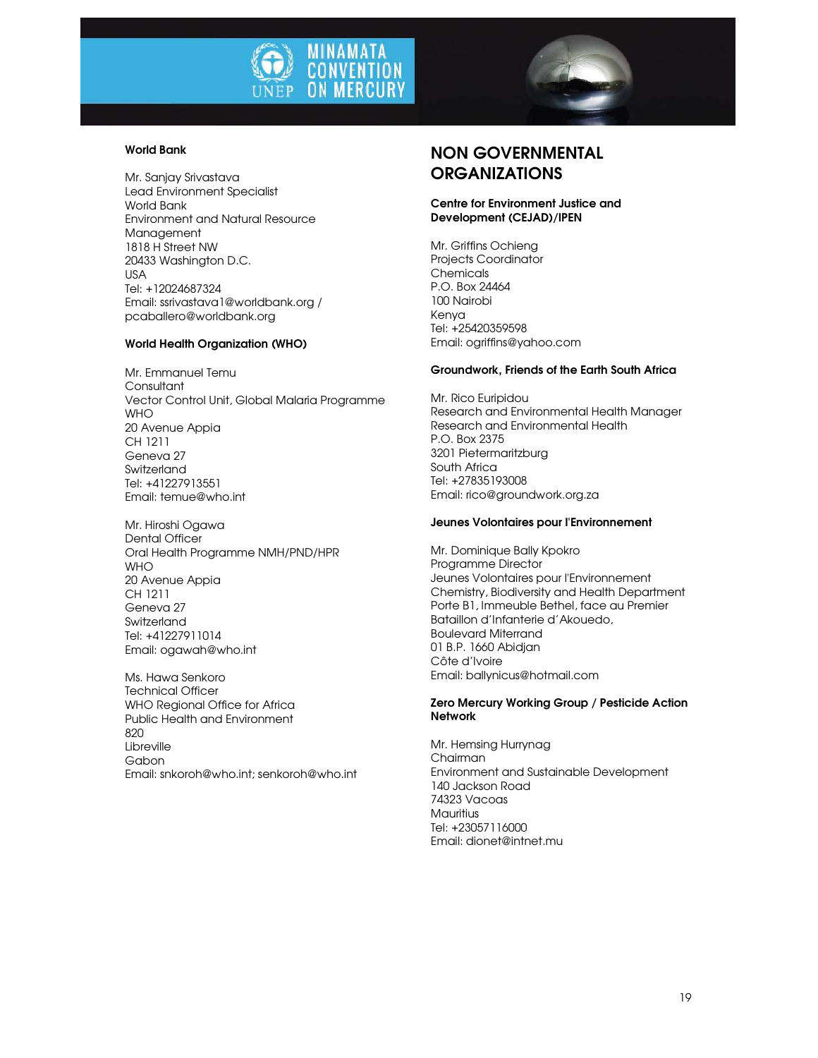



#### World Bank

Mr. Sanjay Srivastava Lead Environment Specialist World Bank Environment and Natural Resource Management 1818 H Street NW 20433 Washington D.C. USA Tel: +12024687324 Email: ssrivastava1@worldbank.org / pcaballero@worldbank.org

#### World Health Organization (WHO)

Mr. Emmanuel Temu Consultant Vector Control Unit, Global Malaria Programme **WHO** 20 Avenue Appia CH 1211 Geneva 27 Switzerland Tel: +41227913551 Email: temue@who.int

Mr. Hiroshi Ogawa Dental Officer Oral Health Programme NMH/PND/HPR WHO 20 Avenue Appia CH 1211 Geneva 27 Switzerland Tel: +41227911014 Email: ogawah@who.int

Ms. Hawa Senkoro Technical Officer WHO Regional Office for Africa Public Health and Environment 820 Libreville Gabon Email: snkoroh@who.int; senkoroh@who.int

## NON GOVERNMENTAL **ORGANIZATIONS**

#### Centre for Environment Justice and Development (CEJAD)/IPEN

Mr. Griffins Ochieng Projects Coordinator **Chemicals** P.O. Box 24464 100 Nairobi Kenya Tel: +25420359598 Email: ogriffins@yahoo.com

#### Groundwork, Friends of the Earth South Africa

Mr. Rico Euripidou Research and Environmental Health Manager Research and Environmental Health P.O. Box 2375 3201 Pietermaritzburg South Africa Tel: +27835193008 Email: rico@groundwork.org.za

#### Jeunes Volontaires pour l'Environnement

Mr. Dominique Bally Kpokro Programme Director Jeunes Volontaires pour l'Environnement Chemistry, Biodiversity and Health Department Porte B1, Immeuble Bethel, face au Premier Bataillon d'Infanterie d'Akouedo, Boulevard Miterrand 01 B.P. 1660 Abidjan Côte d'Ivoire Email: ballynicus@hotmail.com

#### Zero Mercury Working Group / Pesticide Action **Network**

Mr. Hemsing Hurrynag Chairman Environment and Sustainable Development 140 Jackson Road 74323 Vacoas Mauritius Tel: +23057116000 Email: dionet@intnet.mu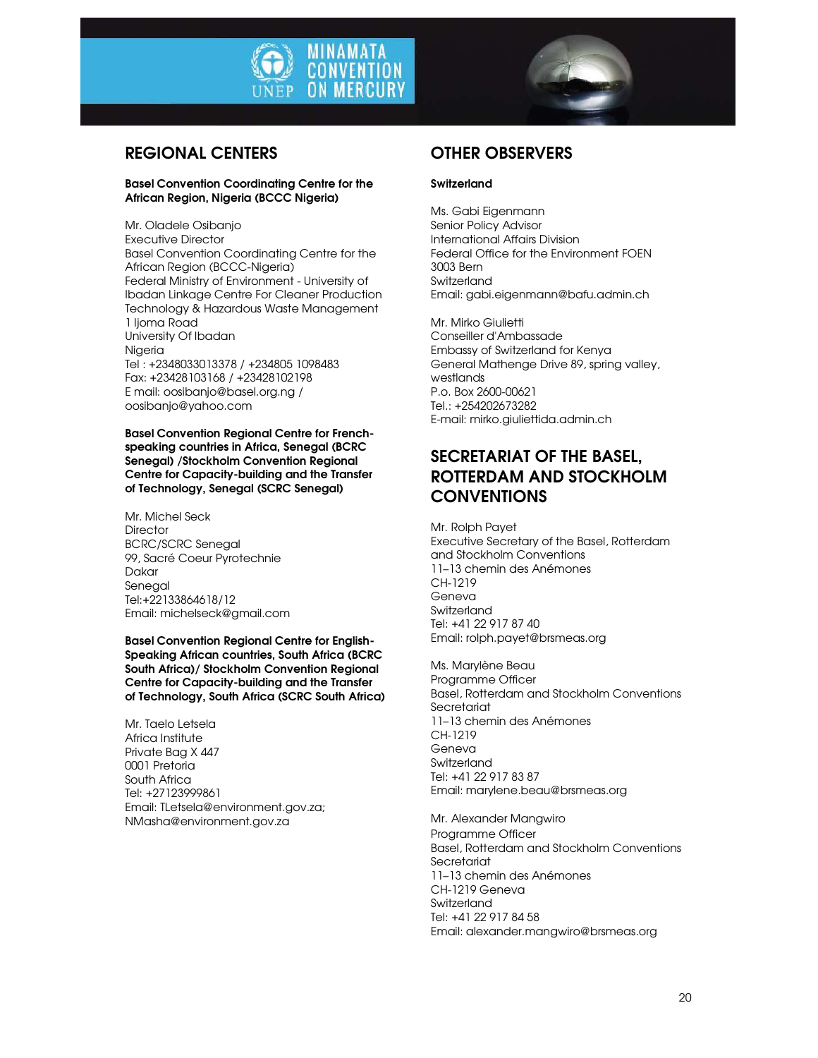



## REGIONAL CENTERS

#### Basel Convention Coordinating Centre for the African Region, Nigeria (BCCC Nigeria)

Mr. Oladele Osibanjo Executive Director Basel Convention Coordinating Centre for the African Region (BCCC-Nigeria) Federal Ministry of Environment - University of Ibadan Linkage Centre For Cleaner Production Technology & Hazardous Waste Management 1 Ijoma Road University Of Ibadan **Nigeria** Tel : +2348033013378 / +234805 1098483 Fax: +23428103168 / +23428102198 E mail: oosibanjo@basel.org.ng / oosibanjo@yahoo.com

Basel Convention Regional Centre for Frenchspeaking countries in Africa, Senegal (BCRC Senegal) /Stockholm Convention Regional Centre for Capacity-building and the Transfer of Technology, Senegal (SCRC Senegal)

Mr. Michel Seck **Director** BCRC/SCRC Senegal 99, Sacré Coeur Pyrotechnie Dakar Senegal Tel:+22133864618/12 Email: michelseck@gmail.com

Basel Convention Regional Centre for English-Speaking African countries, South Africa (BCRC South Africa)/ Stockholm Convention Regional Centre for Capacity-building and the Transfer of Technology, South Africa (SCRC South Africa)

Mr. Taelo Letsela Africa Institute Private Bag X 447 0001 Pretoria South Africa Tel: +27123999861 Email: TLetsela@environment.gov.za; NMasha@environment.gov.za

# OTHER OBSERVERS

#### **Switzerland**

Ms. Gabi Eigenmann Senior Policy Advisor International Affairs Division Federal Office for the Environment FOEN 3003 Bern Switzerland Email: gabi.eigenmann@bafu.admin.ch

Mr. Mirko Giulietti Conseiller d'Ambassade Embassy of Switzerland for Kenya General Mathenge Drive 89, spring valley, westlands P.o. Box 2600-00621 Tel.: +254202673282 E-mail: mirko.giuliettida.admin.ch

# SECRETARIAT OF THE BASEL, ROTTERDAM AND STOCKHOLM **CONVENTIONS**

Mr. Rolph Payet Executive Secretary of the Basel, Rotterdam and Stockholm Conventions 11–13 chemin des Anémones CH-1219 Geneva Switzerland Tel: +41 22 917 87 40 Email: rolph.payet@brsmeas.org

Ms. Marylène Beau Programme Officer Basel, Rotterdam and Stockholm Conventions Secretariat 11–13 chemin des Anémones CH-1219 Geneva Switzerland Tel: +41 22 917 83 87 Email: marylene.beau@brsmeas.org

Mr. Alexander Mangwiro Programme Officer Basel, Rotterdam and Stockholm Conventions Secretariat 11–13 chemin des Anémones CH-1219 Geneva **Switzerland** Tel: +41 22 917 84 58 Email: alexander.mangwiro@brsmeas.org